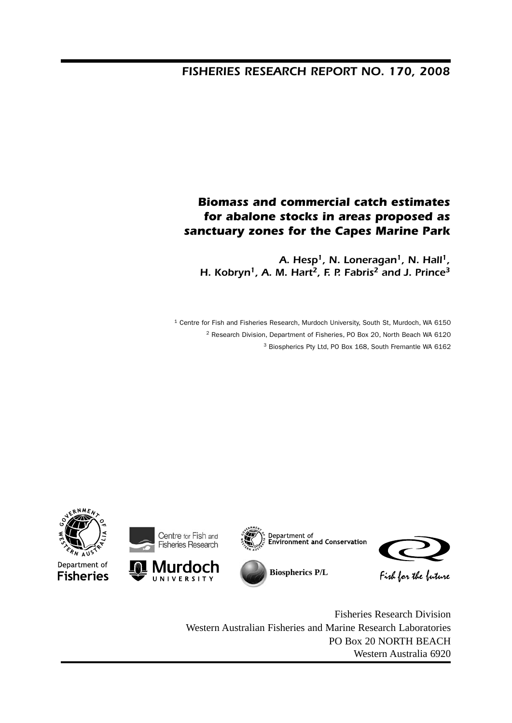# *FISHERIES RESEARCH REPORT NO. 170, 2008*

# *Biomass and commercial catch estimates for abalone stocks in areas proposed as sanctuary zones for the Capes Marine Park*

*A. Hesp1, N. Loneragan1, N. Hall1, H. Kobryn1, A. M. Hart2, F. P. Fabris2 and J. Prince3*

<sup>1</sup> Centre for Fish and Fisheries Research, Murdoch University, South St, Murdoch, WA 6150 2 Research Division, Department of Fisheries, PO Box 20, North Beach WA 6120 3 Biospherics Pty Ltd, PO Box 168, South Fremantle WA 6162



Fisheries Research Division Western Australian Fisheries and Marine Research Laboratories PO Box 20 NORTH BEACH Western Australia 6920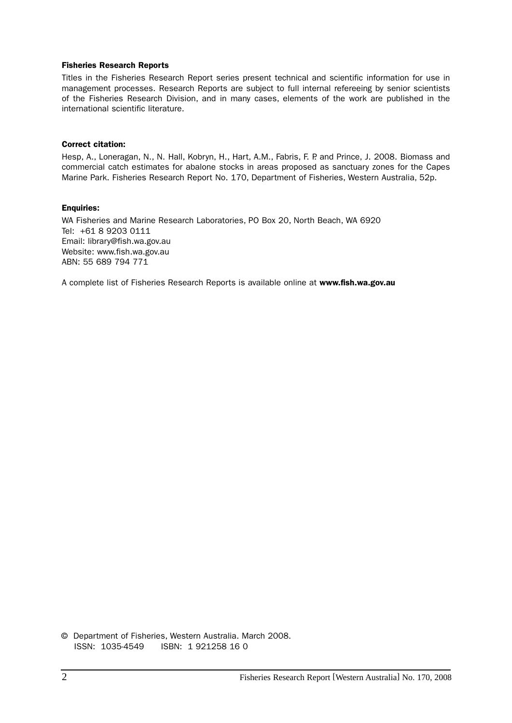#### Fisheries Research Reports

Titles in the Fisheries Research Report series present technical and scientific information for use in management processes. Research Reports are subject to full internal refereeing by senior scientists of the Fisheries Research Division, and in many cases, elements of the work are published in the international scientific literature.

#### Correct citation:

Hesp, A., Loneragan, N., N. Hall, Kobryn, H., Hart, A.M., Fabris, F. P. and Prince, J. 2008. Biomass and commercial catch estimates for abalone stocks in areas proposed as sanctuary zones for the Capes Marine Park. Fisheries Research Report No. 170, Department of Fisheries, Western Australia, 52p.

#### Enquiries:

WA Fisheries and Marine Research Laboratories, PO Box 20, North Beach, WA 6920 Tel: +61 8 9203 0111 Email: library@fish.wa.gov.au Website: www.fish.wa.gov.au ABN: 55 689 794 771

A complete list of Fisheries Research Reports is available online at www.fish.wa.gov.au

© Department of Fisheries, Western Australia. March 2008. ISSN: 1035-4549 ISBN: 1 921258 16 0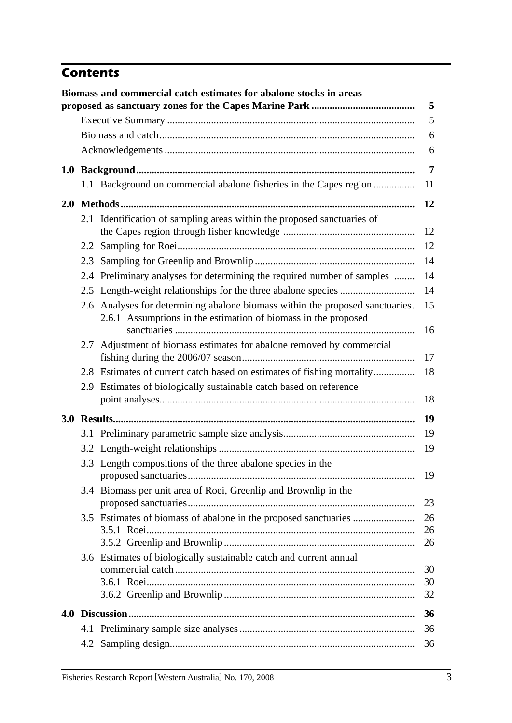# *Contents*

|     | Biomass and commercial catch estimates for abalone stocks in areas                                                                              | 5              |
|-----|-------------------------------------------------------------------------------------------------------------------------------------------------|----------------|
|     |                                                                                                                                                 | 5              |
|     |                                                                                                                                                 | 6              |
|     |                                                                                                                                                 | 6              |
|     |                                                                                                                                                 | $\overline{7}$ |
|     | 1.1 Background on commercial abalone fisheries in the Capes region                                                                              | 11             |
|     |                                                                                                                                                 | 12             |
|     | 2.1 Identification of sampling areas within the proposed sanctuaries of                                                                         | 12             |
|     |                                                                                                                                                 | 12             |
|     |                                                                                                                                                 | 14             |
|     | 2.4 Preliminary analyses for determining the required number of samples                                                                         | 14             |
|     |                                                                                                                                                 | 14             |
|     | 2.6 Analyses for determining abalone biomass within the proposed sanctuaries.<br>2.6.1 Assumptions in the estimation of biomass in the proposed | 15<br>16       |
|     | 2.7 Adjustment of biomass estimates for abalone removed by commercial                                                                           | 17             |
|     | 2.8 Estimates of current catch based on estimates of fishing mortality                                                                          | 18             |
|     | 2.9 Estimates of biologically sustainable catch based on reference                                                                              |                |
|     |                                                                                                                                                 | 18             |
|     |                                                                                                                                                 | 19             |
|     |                                                                                                                                                 | 19             |
|     |                                                                                                                                                 | 19             |
|     | 3.3 Length compositions of the three abalone species in the                                                                                     | 19             |
| 3.4 | Biomass per unit area of Roei, Greenlip and Brownlip in the                                                                                     | 23             |
|     | 3.5 Estimates of biomass of abalone in the proposed sanctuaries                                                                                 | 26<br>26       |
|     |                                                                                                                                                 | 26             |
|     | 3.6 Estimates of biologically sustainable catch and current annual                                                                              |                |
|     |                                                                                                                                                 | 30<br>30       |
|     |                                                                                                                                                 | 32             |
|     |                                                                                                                                                 | 36             |
|     |                                                                                                                                                 | 36             |
|     |                                                                                                                                                 | 36             |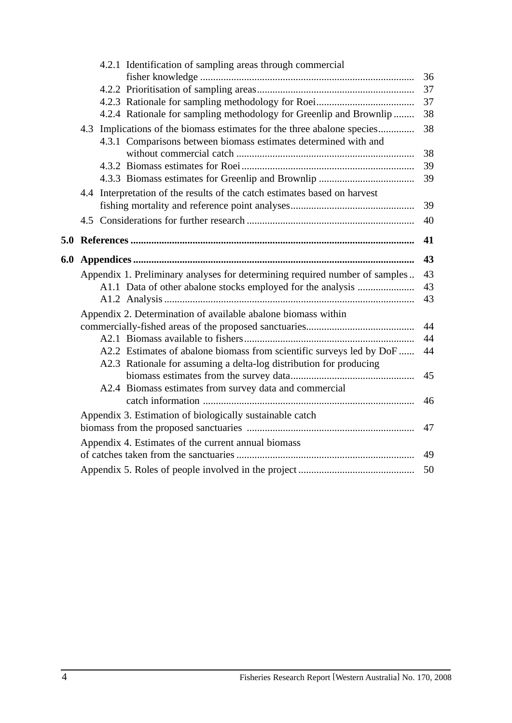|     | 4.2.1 Identification of sampling areas through commercial                                                                                  |    |
|-----|--------------------------------------------------------------------------------------------------------------------------------------------|----|
|     |                                                                                                                                            | 36 |
|     |                                                                                                                                            | 37 |
|     |                                                                                                                                            | 37 |
|     | 4.2.4 Rationale for sampling methodology for Greenlip and Brownlip                                                                         | 38 |
|     | 4.3 Implications of the biomass estimates for the three abalone species<br>4.3.1 Comparisons between biomass estimates determined with and | 38 |
|     |                                                                                                                                            | 38 |
|     |                                                                                                                                            | 39 |
|     |                                                                                                                                            | 39 |
|     | 4.4 Interpretation of the results of the catch estimates based on harvest                                                                  |    |
|     |                                                                                                                                            | 39 |
|     |                                                                                                                                            | 40 |
| 5.0 |                                                                                                                                            | 41 |
| 6.0 |                                                                                                                                            | 43 |
|     | Appendix 1. Preliminary analyses for determining required number of samples                                                                | 43 |
|     | A1.1 Data of other abalone stocks employed for the analysis                                                                                | 43 |
|     |                                                                                                                                            |    |
|     |                                                                                                                                            | 43 |
|     | Appendix 2. Determination of available abalone biomass within                                                                              |    |
|     |                                                                                                                                            | 44 |
|     |                                                                                                                                            | 44 |
|     | A2.2 Estimates of abalone biomass from scientific surveys led by DoF                                                                       | 44 |
|     | A2.3 Rationale for assuming a delta-log distribution for producing                                                                         |    |
|     |                                                                                                                                            | 45 |
|     | A2.4 Biomass estimates from survey data and commercial                                                                                     |    |
|     |                                                                                                                                            | 46 |
|     | Appendix 3. Estimation of biologically sustainable catch                                                                                   |    |
|     |                                                                                                                                            | 47 |
|     | Appendix 4. Estimates of the current annual biomass                                                                                        |    |
|     |                                                                                                                                            | 49 |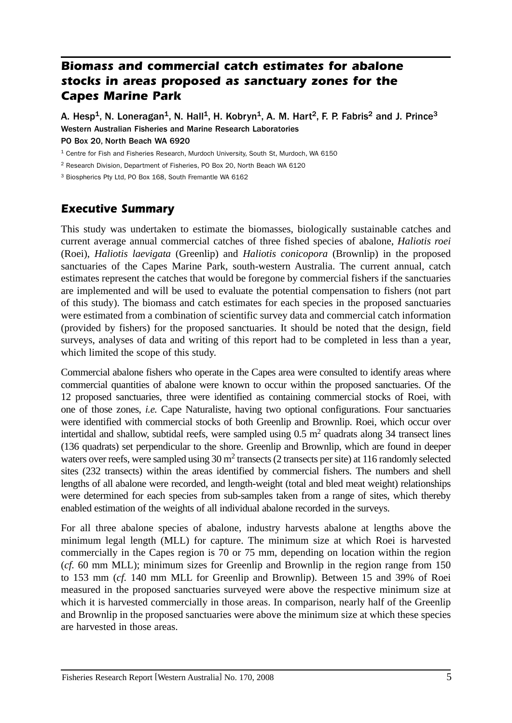# *Biomass and commercial catch estimates for abalone stocks in areas proposed as sanctuary zones for the Capes Marine Park*

A. Hesp<sup>1</sup>, N. Loneragan<sup>1</sup>, N. Hall<sup>1</sup>, H. Kobryn<sup>1</sup>, A. M. Hart<sup>2</sup>, F. P. Fabris<sup>2</sup> and J. Prince<sup>3</sup> Western Australian Fisheries and Marine Research Laboratories

PO Box 20, North Beach WA 6920

<sup>1</sup> Centre for Fish and Fisheries Research, Murdoch University, South St, Murdoch, WA 6150

2 Research Division, Department of Fisheries, PO Box 20, North Beach WA 6120

3 Biospherics Pty Ltd, PO Box 168, South Fremantle WA 6162

# *Executive Summary*

This study was undertaken to estimate the biomasses, biologically sustainable catches and current average annual commercial catches of three fished species of abalone, *Haliotis roei*  (Roei), *Haliotis laevigata* (Greenlip) and *Haliotis conicopora* (Brownlip) in the proposed sanctuaries of the Capes Marine Park, south-western Australia. The current annual, catch estimates represent the catches that would be foregone by commercial fishers if the sanctuaries are implemented and will be used to evaluate the potential compensation to fishers (not part of this study). The biomass and catch estimates for each species in the proposed sanctuaries were estimated from a combination of scientific survey data and commercial catch information (provided by fishers) for the proposed sanctuaries. It should be noted that the design, field surveys, analyses of data and writing of this report had to be completed in less than a year, which limited the scope of this study.

Commercial abalone fishers who operate in the Capes area were consulted to identify areas where commercial quantities of abalone were known to occur within the proposed sanctuaries. Of the 12 proposed sanctuaries, three were identified as containing commercial stocks of Roei, with one of those zones, *i.e.* Cape Naturaliste, having two optional configurations. Four sanctuaries were identified with commercial stocks of both Greenlip and Brownlip. Roei, which occur over intertidal and shallow, subtidal reefs, were sampled using  $0.5 \text{ m}^2$  quadrats along 34 transect lines (136 quadrats) set perpendicular to the shore. Greenlip and Brownlip, which are found in deeper waters over reefs, were sampled using 30 m<sup>2</sup> transects (2 transects per site) at 116 randomly selected sites (232 transects) within the areas identified by commercial fishers. The numbers and shell lengths of all abalone were recorded, and length-weight (total and bled meat weight) relationships were determined for each species from sub-samples taken from a range of sites, which thereby enabled estimation of the weights of all individual abalone recorded in the surveys.

For all three abalone species of abalone, industry harvests abalone at lengths above the minimum legal length (MLL) for capture. The minimum size at which Roei is harvested commercially in the Capes region is 70 or 75 mm, depending on location within the region (*cf.* 60 mm MLL); minimum sizes for Greenlip and Brownlip in the region range from 150 to 153 mm (*cf.* 140 mm MLL for Greenlip and Brownlip). Between 15 and 39% of Roei measured in the proposed sanctuaries surveyed were above the respective minimum size at which it is harvested commercially in those areas. In comparison, nearly half of the Greenlip and Brownlip in the proposed sanctuaries were above the minimum size at which these species are harvested in those areas.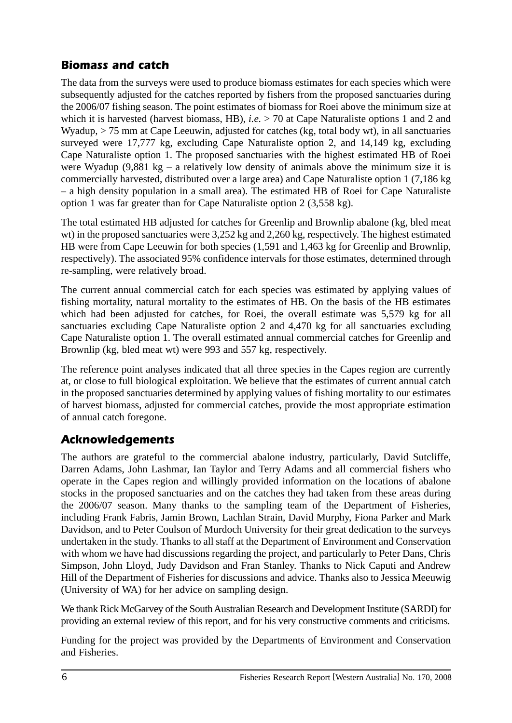# *Biomass and catch*

The data from the surveys were used to produce biomass estimates for each species which were subsequently adjusted for the catches reported by fishers from the proposed sanctuaries during the 2006/07 fishing season. The point estimates of biomass for Roei above the minimum size at which it is harvested (harvest biomass, HB), *i.e.* > 70 at Cape Naturaliste options 1 and 2 and Wyadup, > 75 mm at Cape Leeuwin, adjusted for catches (kg, total body wt), in all sanctuaries surveyed were 17,777 kg, excluding Cape Naturaliste option 2, and 14,149 kg, excluding Cape Naturaliste option 1. The proposed sanctuaries with the highest estimated HB of Roei were Wyadup (9,881 kg – a relatively low density of animals above the minimum size it is commercially harvested, distributed over a large area) and Cape Naturaliste option 1 (7,186 kg – a high density population in a small area). The estimated HB of Roei for Cape Naturaliste option 1 was far greater than for Cape Naturaliste option 2 (3,558 kg).

The total estimated HB adjusted for catches for Greenlip and Brownlip abalone (kg, bled meat wt) in the proposed sanctuaries were 3,252 kg and 2,260 kg, respectively. The highest estimated HB were from Cape Leeuwin for both species (1,591 and 1,463 kg for Greenlip and Brownlip, respectively). The associated 95% confidence intervals for those estimates, determined through re-sampling, were relatively broad.

The current annual commercial catch for each species was estimated by applying values of fishing mortality, natural mortality to the estimates of HB. On the basis of the HB estimates which had been adjusted for catches, for Roei, the overall estimate was 5,579 kg for all sanctuaries excluding Cape Naturaliste option 2 and 4,470 kg for all sanctuaries excluding Cape Naturaliste option 1. The overall estimated annual commercial catches for Greenlip and Brownlip (kg, bled meat wt) were 993 and 557 kg, respectively.

The reference point analyses indicated that all three species in the Capes region are currently at, or close to full biological exploitation. We believe that the estimates of current annual catch in the proposed sanctuaries determined by applying values of fishing mortality to our estimates of harvest biomass, adjusted for commercial catches, provide the most appropriate estimation of annual catch foregone.

# *Acknowledgements*

The authors are grateful to the commercial abalone industry, particularly, David Sutcliffe, Darren Adams, John Lashmar, Ian Taylor and Terry Adams and all commercial fishers who operate in the Capes region and willingly provided information on the locations of abalone stocks in the proposed sanctuaries and on the catches they had taken from these areas during the 2006/07 season. Many thanks to the sampling team of the Department of Fisheries, including Frank Fabris, Jamin Brown, Lachlan Strain, David Murphy, Fiona Parker and Mark Davidson, and to Peter Coulson of Murdoch University for their great dedication to the surveys undertaken in the study. Thanks to all staff at the Department of Environment and Conservation with whom we have had discussions regarding the project, and particularly to Peter Dans, Chris Simpson, John Lloyd, Judy Davidson and Fran Stanley. Thanks to Nick Caputi and Andrew Hill of the Department of Fisheries for discussions and advice. Thanks also to Jessica Meeuwig (University of WA) for her advice on sampling design.

We thank Rick McGarvey of the South Australian Research and Development Institute (SARDI) for providing an external review of this report, and for his very constructive comments and criticisms.

Funding for the project was provided by the Departments of Environment and Conservation and Fisheries.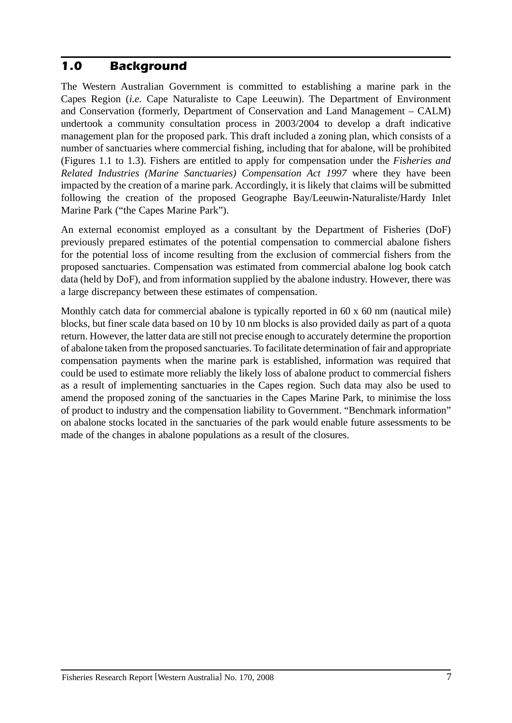## *1.0 Background*

The Western Australian Government is committed to establishing a marine park in the Capes Region (*i.e.* Cape Naturaliste to Cape Leeuwin). The Department of Environment and Conservation (formerly, Department of Conservation and Land Management – CALM) undertook a community consultation process in 2003/2004 to develop a draft indicative management plan for the proposed park. This draft included a zoning plan, which consists of a number of sanctuaries where commercial fishing, including that for abalone, will be prohibited (Figures 1.1 to 1.3). Fishers are entitled to apply for compensation under the *Fisheries and Related Industries (Marine Sanctuaries) Compensation Act 1997* where they have been impacted by the creation of a marine park. Accordingly, it is likely that claims will be submitted following the creation of the proposed Geographe Bay/Leeuwin-Naturaliste/Hardy Inlet Marine Park ("the Capes Marine Park").

An external economist employed as a consultant by the Department of Fisheries (DoF) previously prepared estimates of the potential compensation to commercial abalone fishers for the potential loss of income resulting from the exclusion of commercial fishers from the proposed sanctuaries. Compensation was estimated from commercial abalone log book catch data (held by DoF), and from information supplied by the abalone industry. However, there was a large discrepancy between these estimates of compensation.

Monthly catch data for commercial abalone is typically reported in 60 x 60 nm (nautical mile) blocks, but finer scale data based on 10 by 10 nm blocks is also provided daily as part of a quota return. However, the latter data are still not precise enough to accurately determine the proportion of abalone taken from the proposed sanctuaries. To facilitate determination of fair and appropriate compensation payments when the marine park is established, information was required that could be used to estimate more reliably the likely loss of abalone product to commercial fishers as a result of implementing sanctuaries in the Capes region. Such data may also be used to amend the proposed zoning of the sanctuaries in the Capes Marine Park, to minimise the loss of product to industry and the compensation liability to Government. "Benchmark information" on abalone stocks located in the sanctuaries of the park would enable future assessments to be made of the changes in abalone populations as a result of the closures.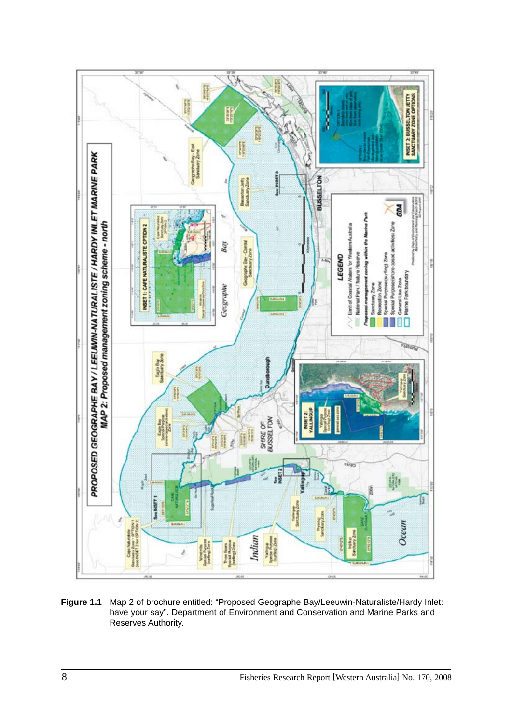

**Figure 1.1** Map 2 of brochure entitled: "Proposed Geographe Bay/Leeuwin-Naturaliste/Hardy Inlet: have your say". Department of Environment and Conservation and Marine Parks and Reserves Authority.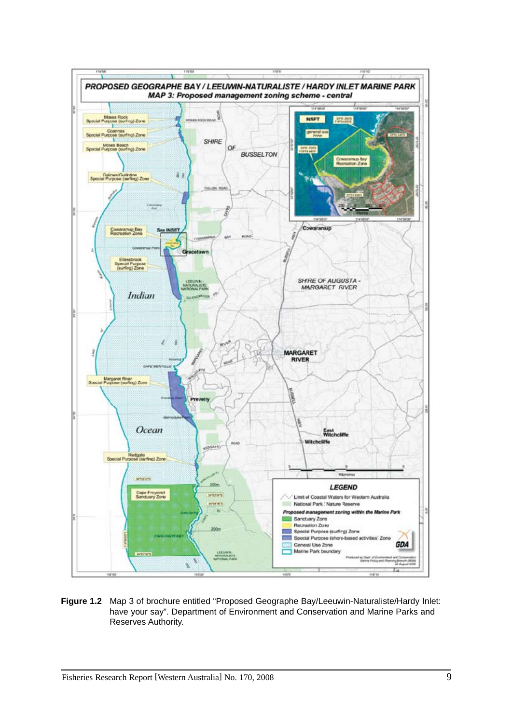

**Figure 1.2** Map 3 of brochure entitled "Proposed Geographe Bay/Leeuwin-Naturaliste/Hardy Inlet: have your say". Department of Environment and Conservation and Marine Parks and Reserves Authority.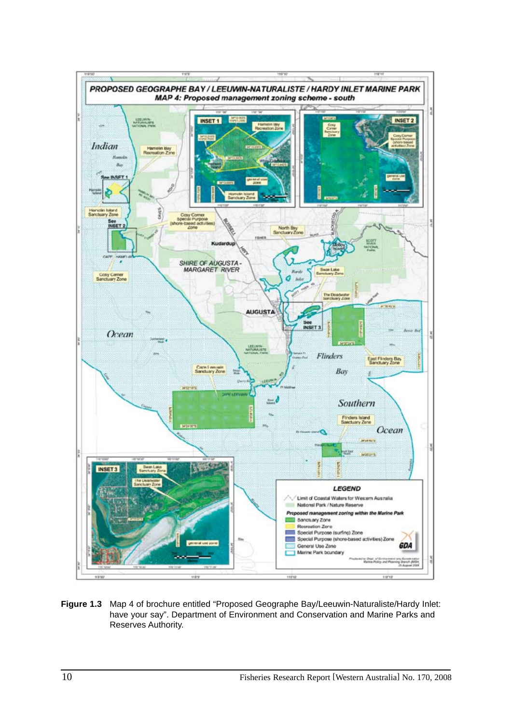

**Figure 1.3** Map 4 of brochure entitled "Proposed Geographe Bay/Leeuwin-Naturaliste/Hardy Inlet: have your say". Department of Environment and Conservation and Marine Parks and Reserves Authority.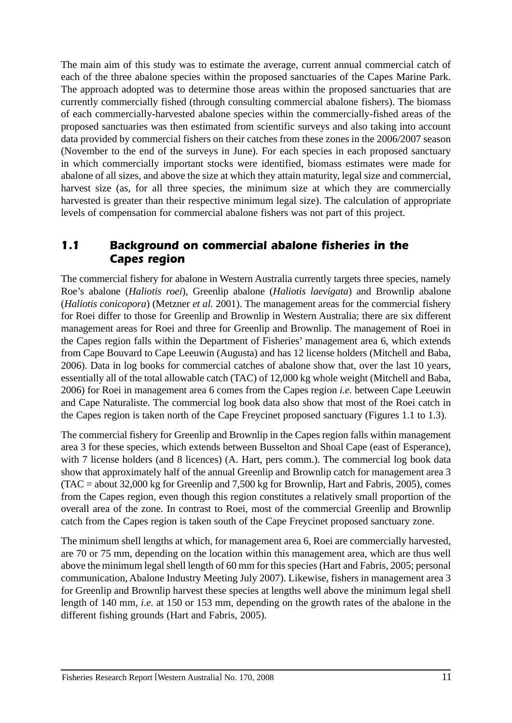The main aim of this study was to estimate the average, current annual commercial catch of each of the three abalone species within the proposed sanctuaries of the Capes Marine Park. The approach adopted was to determine those areas within the proposed sanctuaries that are currently commercially fished (through consulting commercial abalone fishers). The biomass of each commercially-harvested abalone species within the commercially-fished areas of the proposed sanctuaries was then estimated from scientific surveys and also taking into account data provided by commercial fishers on their catches from these zones in the 2006/2007 season (November to the end of the surveys in June). For each species in each proposed sanctuary in which commercially important stocks were identified, biomass estimates were made for abalone of all sizes, and above the size at which they attain maturity, legal size and commercial, harvest size (as, for all three species, the minimum size at which they are commercially harvested is greater than their respective minimum legal size). The calculation of appropriate levels of compensation for commercial abalone fishers was not part of this project.

### *1.1 Background on commercial abalone fisheries in the Capes region*

The commercial fishery for abalone in Western Australia currently targets three species, namely Roe's abalone (*Haliotis roei*), Greenlip abalone (*Haliotis laevigata*) and Brownlip abalone (*Haliotis conicopora*) (Metzner *et al.* 2001). The management areas for the commercial fishery for Roei differ to those for Greenlip and Brownlip in Western Australia; there are six different management areas for Roei and three for Greenlip and Brownlip. The management of Roei in the Capes region falls within the Department of Fisheries' management area 6, which extends from Cape Bouvard to Cape Leeuwin (Augusta) and has 12 license holders (Mitchell and Baba, 2006). Data in log books for commercial catches of abalone show that, over the last 10 years, essentially all of the total allowable catch (TAC) of 12,000 kg whole weight (Mitchell and Baba, 2006) for Roei in management area 6 comes from the Capes region *i.e.* between Cape Leeuwin and Cape Naturaliste. The commercial log book data also show that most of the Roei catch in the Capes region is taken north of the Cape Freycinet proposed sanctuary (Figures 1.1 to 1.3).

The commercial fishery for Greenlip and Brownlip in the Capes region falls within management area 3 for these species, which extends between Busselton and Shoal Cape (east of Esperance), with 7 license holders (and 8 licences) (A. Hart, pers comm.). The commercial log book data show that approximately half of the annual Greenlip and Brownlip catch for management area 3 (TAC = about 32,000 kg for Greenlip and 7,500 kg for Brownlip, Hart and Fabris, 2005), comes from the Capes region, even though this region constitutes a relatively small proportion of the overall area of the zone. In contrast to Roei, most of the commercial Greenlip and Brownlip catch from the Capes region is taken south of the Cape Freycinet proposed sanctuary zone.

The minimum shell lengths at which, for management area 6, Roei are commercially harvested, are 70 or 75 mm, depending on the location within this management area, which are thus well above the minimum legal shell length of 60 mm for this species (Hart and Fabris, 2005; personal communication, Abalone Industry Meeting July 2007). Likewise, fishers in management area 3 for Greenlip and Brownlip harvest these species at lengths well above the minimum legal shell length of 140 mm, *i.e.* at 150 or 153 mm, depending on the growth rates of the abalone in the different fishing grounds (Hart and Fabris, 2005).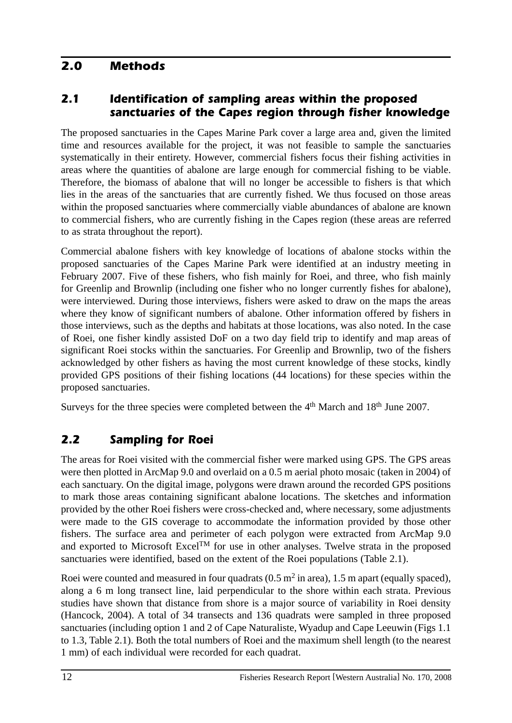# *2.0 Methods*

# *2.1 Identification of sampling areas within the proposed sanctuaries of the Capes region through fisher knowledge*

The proposed sanctuaries in the Capes Marine Park cover a large area and, given the limited time and resources available for the project, it was not feasible to sample the sanctuaries systematically in their entirety. However, commercial fishers focus their fishing activities in areas where the quantities of abalone are large enough for commercial fishing to be viable. Therefore, the biomass of abalone that will no longer be accessible to fishers is that which lies in the areas of the sanctuaries that are currently fished. We thus focused on those areas within the proposed sanctuaries where commercially viable abundances of abalone are known to commercial fishers, who are currently fishing in the Capes region (these areas are referred to as strata throughout the report).

Commercial abalone fishers with key knowledge of locations of abalone stocks within the proposed sanctuaries of the Capes Marine Park were identified at an industry meeting in February 2007. Five of these fishers, who fish mainly for Roei, and three, who fish mainly for Greenlip and Brownlip (including one fisher who no longer currently fishes for abalone), were interviewed. During those interviews, fishers were asked to draw on the maps the areas where they know of significant numbers of abalone. Other information offered by fishers in those interviews, such as the depths and habitats at those locations, was also noted. In the case of Roei, one fisher kindly assisted DoF on a two day field trip to identify and map areas of significant Roei stocks within the sanctuaries. For Greenlip and Brownlip, two of the fishers acknowledged by other fishers as having the most current knowledge of these stocks, kindly provided GPS positions of their fishing locations (44 locations) for these species within the proposed sanctuaries.

Surveys for the three species were completed between the 4<sup>th</sup> March and 18<sup>th</sup> June 2007.

# *2.2 Sampling for Roei*

The areas for Roei visited with the commercial fisher were marked using GPS. The GPS areas were then plotted in ArcMap 9.0 and overlaid on a 0.5 m aerial photo mosaic (taken in 2004) of each sanctuary. On the digital image, polygons were drawn around the recorded GPS positions to mark those areas containing significant abalone locations. The sketches and information provided by the other Roei fishers were cross-checked and, where necessary, some adjustments were made to the GIS coverage to accommodate the information provided by those other fishers. The surface area and perimeter of each polygon were extracted from ArcMap 9.0 and exported to Microsoft Excel<sup>TM</sup> for use in other analyses. Twelve strata in the proposed sanctuaries were identified, based on the extent of the Roei populations (Table 2.1).

Roei were counted and measured in four quadrats  $(0.5 \text{ m}^2 \text{ in area})$ , 1.5 m apart (equally spaced), along a 6 m long transect line, laid perpendicular to the shore within each strata. Previous studies have shown that distance from shore is a major source of variability in Roei density (Hancock, 2004). A total of 34 transects and 136 quadrats were sampled in three proposed sanctuaries (including option 1 and 2 of Cape Naturaliste, Wyadup and Cape Leeuwin (Figs 1.1 to 1.3, Table 2.1). Both the total numbers of Roei and the maximum shell length (to the nearest 1 mm) of each individual were recorded for each quadrat.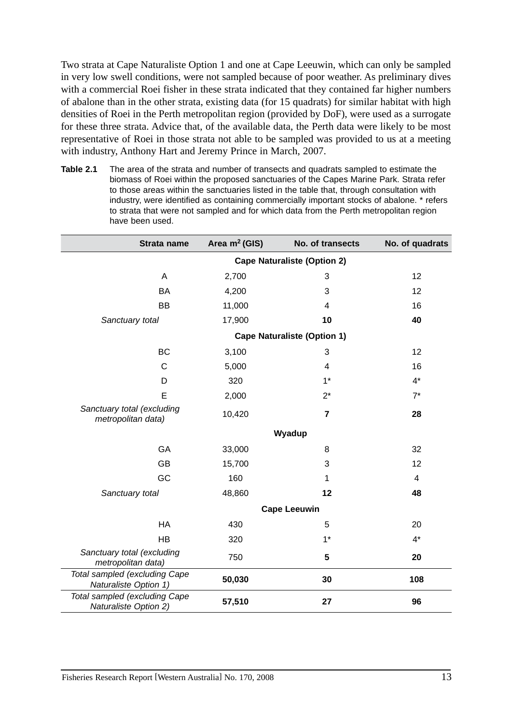Two strata at Cape Naturaliste Option 1 and one at Cape Leeuwin, which can only be sampled in very low swell conditions, were not sampled because of poor weather. As preliminary dives with a commercial Roei fisher in these strata indicated that they contained far higher numbers of abalone than in the other strata, existing data (for 15 quadrats) for similar habitat with high densities of Roei in the Perth metropolitan region (provided by DoF), were used as a surrogate for these three strata. Advice that, of the available data, the Perth data were likely to be most representative of Roei in those strata not able to be sampled was provided to us at a meeting with industry, Anthony Hart and Jeremy Prince in March, 2007.

**Table 2.1** The area of the strata and number of transects and quadrats sampled to estimate the biomass of Roei within the proposed sanctuaries of the Capes Marine Park. Strata refer to those areas within the sanctuaries listed in the table that, through consultation with industry, were identified as containing commercially important stocks of abalone. \* refers to strata that were not sampled and for which data from the Perth metropolitan region have been used.

| Strata name                                            | Area $m2$ (GIS) | No. of transects                   | No. of quadrats         |
|--------------------------------------------------------|-----------------|------------------------------------|-------------------------|
|                                                        |                 | <b>Cape Naturaliste (Option 2)</b> |                         |
| A                                                      | 2,700           | 3                                  | 12                      |
| <b>BA</b>                                              | 4,200           | 3                                  | 12                      |
| <b>BB</b>                                              | 11,000          | 4                                  | 16                      |
| Sanctuary total                                        | 17,900          | 10                                 | 40                      |
|                                                        |                 | <b>Cape Naturaliste (Option 1)</b> |                         |
| BC                                                     | 3,100           | 3                                  | 12                      |
| $\mathsf{C}$                                           | 5,000           | 4                                  | 16                      |
| D                                                      | 320             | $1^*$                              | $4^*$                   |
| E                                                      | 2,000           | $2^*$                              | $7^*$                   |
| Sanctuary total (excluding<br>metropolitan data)       | 10,420          | $\overline{7}$                     | 28                      |
|                                                        |                 | Wyadup                             |                         |
| GA                                                     | 33,000          | 8                                  | 32                      |
| <b>GB</b>                                              | 15,700          | 3                                  | 12                      |
| GC                                                     | 160             | 1                                  | $\overline{\mathbf{4}}$ |
| Sanctuary total                                        | 48,860          | 12                                 | 48                      |
|                                                        |                 | <b>Cape Leeuwin</b>                |                         |
| HA                                                     | 430             | 5                                  | 20                      |
| <b>HB</b>                                              | 320             | $1*$                               | $4^*$                   |
| Sanctuary total (excluding<br>metropolitan data)       | 750             | 5                                  | 20                      |
| Total sampled (excluding Cape<br>Naturaliste Option 1) | 50,030          | 30                                 | 108                     |
| Total sampled (excluding Cape<br>Naturaliste Option 2) | 57,510          | 27                                 | 96                      |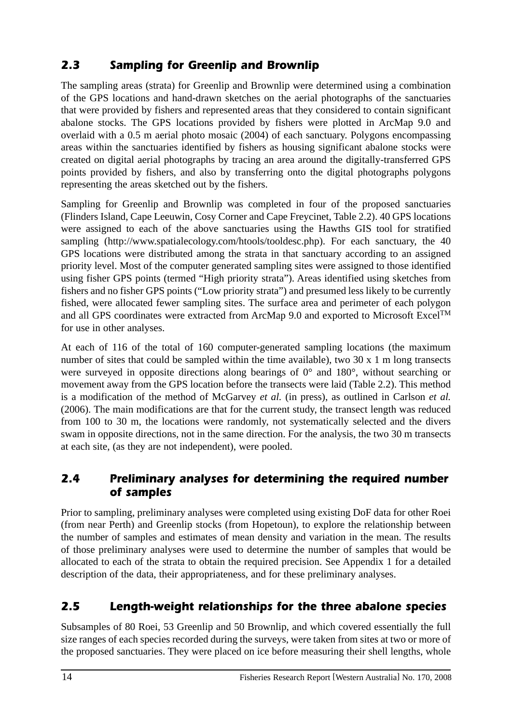# *2.3 Sampling for Greenlip and Brownlip*

The sampling areas (strata) for Greenlip and Brownlip were determined using a combination of the GPS locations and hand-drawn sketches on the aerial photographs of the sanctuaries that were provided by fishers and represented areas that they considered to contain significant abalone stocks. The GPS locations provided by fishers were plotted in ArcMap 9.0 and overlaid with a 0.5 m aerial photo mosaic (2004) of each sanctuary. Polygons encompassing areas within the sanctuaries identified by fishers as housing significant abalone stocks were created on digital aerial photographs by tracing an area around the digitally-transferred GPS points provided by fishers, and also by transferring onto the digital photographs polygons representing the areas sketched out by the fishers.

Sampling for Greenlip and Brownlip was completed in four of the proposed sanctuaries (Flinders Island, Cape Leeuwin, Cosy Corner and Cape Freycinet, Table 2.2). 40 GPS locations were assigned to each of the above sanctuaries using the Hawths GIS tool for stratified sampling (http://www.spatialecology.com/htools/tooldesc.php). For each sanctuary, the 40 GPS locations were distributed among the strata in that sanctuary according to an assigned priority level. Most of the computer generated sampling sites were assigned to those identified using fisher GPS points (termed "High priority strata"). Areas identified using sketches from fishers and no fisher GPS points ("Low priority strata") and presumed less likely to be currently fished, were allocated fewer sampling sites. The surface area and perimeter of each polygon and all GPS coordinates were extracted from ArcMap 9.0 and exported to Microsoft Excel<sup>TM</sup> for use in other analyses.

At each of 116 of the total of 160 computer-generated sampling locations (the maximum number of sites that could be sampled within the time available), two 30 x 1 m long transects were surveyed in opposite directions along bearings of  $0^{\circ}$  and  $180^{\circ}$ , without searching or movement away from the GPS location before the transects were laid (Table 2.2). This method is a modification of the method of McGarvey *et al.* (in press), as outlined in Carlson *et al.* (2006). The main modifications are that for the current study, the transect length was reduced from 100 to 30 m, the locations were randomly, not systematically selected and the divers swam in opposite directions, not in the same direction. For the analysis, the two 30 m transects at each site, (as they are not independent), were pooled.

## *2.4 Preliminary analyses for determining the required number of samples*

Prior to sampling, preliminary analyses were completed using existing DoF data for other Roei (from near Perth) and Greenlip stocks (from Hopetoun), to explore the relationship between the number of samples and estimates of mean density and variation in the mean. The results of those preliminary analyses were used to determine the number of samples that would be allocated to each of the strata to obtain the required precision. See Appendix 1 for a detailed description of the data, their appropriateness, and for these preliminary analyses.

# *2.5 Length-weight relationships for the three abalone species*

Subsamples of 80 Roei, 53 Greenlip and 50 Brownlip, and which covered essentially the full size ranges of each species recorded during the surveys, were taken from sites at two or more of the proposed sanctuaries. They were placed on ice before measuring their shell lengths, whole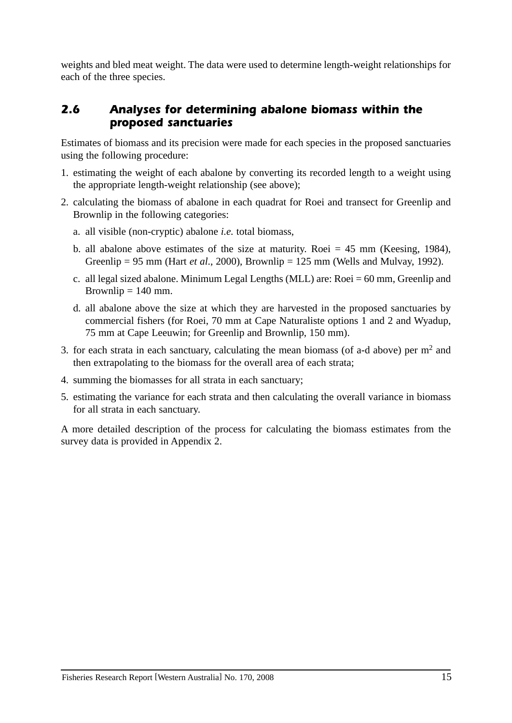weights and bled meat weight. The data were used to determine length-weight relationships for each of the three species.

# *2.6 Analyses for determining abalone biomass within the proposed sanctuaries*

Estimates of biomass and its precision were made for each species in the proposed sanctuaries using the following procedure:

- 1. estimating the weight of each abalone by converting its recorded length to a weight using the appropriate length-weight relationship (see above);
- 2. calculating the biomass of abalone in each quadrat for Roei and transect for Greenlip and Brownlip in the following categories:
	- a. all visible (non-cryptic) abalone *i.e.* total biomass,
	- b. all abalone above estimates of the size at maturity. Roei  $= 45$  mm (Keesing, 1984), Greenlip = 95 mm (Hart *et al*., 2000), Brownlip = 125 mm (Wells and Mulvay, 1992).
	- c. all legal sized abalone. Minimum Legal Lengths (MLL) are: Roei = 60 mm, Greenlip and Brownlip  $= 140$  mm.
	- d. all abalone above the size at which they are harvested in the proposed sanctuaries by commercial fishers (for Roei, 70 mm at Cape Naturaliste options 1 and 2 and Wyadup, 75 mm at Cape Leeuwin; for Greenlip and Brownlip, 150 mm).
- 3. for each strata in each sanctuary, calculating the mean biomass (of a-d above) per  $m<sup>2</sup>$  and then extrapolating to the biomass for the overall area of each strata;
- 4. summing the biomasses for all strata in each sanctuary;
- 5. estimating the variance for each strata and then calculating the overall variance in biomass for all strata in each sanctuary.

A more detailed description of the process for calculating the biomass estimates from the survey data is provided in Appendix 2.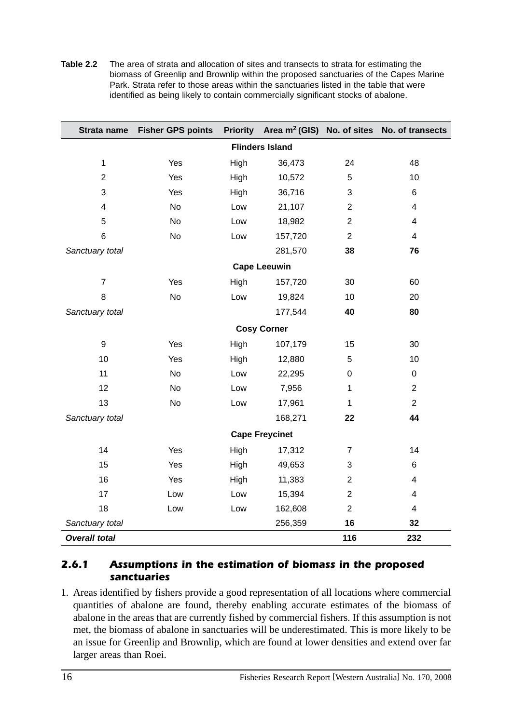**Table 2.2** The area of strata and allocation of sites and transects to strata for estimating the biomass of Greenlip and Brownlip within the proposed sanctuaries of the Capes Marine Park. Strata refer to those areas within the sanctuaries listed in the table that were identified as being likely to contain commercially significant stocks of abalone.

| Strata name          | <b>Fisher GPS points</b> | <b>Priority</b> | Area $m^2$ (GIS) No. of sites |                | No. of transects        |
|----------------------|--------------------------|-----------------|-------------------------------|----------------|-------------------------|
|                      |                          |                 | <b>Flinders Island</b>        |                |                         |
| $\mathbf{1}$         | Yes                      | High            | 36,473                        | 24             | 48                      |
| $\overline{2}$       | Yes                      | High            | 10,572                        | 5              | 10                      |
| 3                    | Yes                      | High            | 36,716                        | 3              | $\,6\,$                 |
| 4                    | No                       | Low             | 21,107                        | $\overline{2}$ | 4                       |
| 5                    | <b>No</b>                | Low             | 18,982                        | $\overline{2}$ | 4                       |
| 6                    | <b>No</b>                | Low             | 157,720                       | $\overline{2}$ | 4                       |
| Sanctuary total      |                          |                 | 281,570                       | 38             | 76                      |
|                      |                          |                 | <b>Cape Leeuwin</b>           |                |                         |
| $\overline{7}$       | Yes                      | High            | 157,720                       | 30             | 60                      |
| 8                    | <b>No</b>                | Low             | 19,824                        | 10             | 20                      |
| Sanctuary total      |                          |                 | 177,544                       | 40             | 80                      |
|                      |                          |                 | <b>Cosy Corner</b>            |                |                         |
| 9                    | Yes                      | High            | 107,179                       | 15             | 30                      |
| 10                   | Yes                      | High            | 12,880                        | 5              | 10                      |
| 11                   | <b>No</b>                | Low             | 22,295                        | 0              | $\pmb{0}$               |
| 12                   | No                       | Low             | 7,956                         | $\mathbf{1}$   | $\overline{2}$          |
| 13                   | <b>No</b>                | Low             | 17,961                        | $\mathbf{1}$   | $\overline{2}$          |
| Sanctuary total      |                          |                 | 168,271                       | 22             | 44                      |
|                      |                          |                 | <b>Cape Freycinet</b>         |                |                         |
| 14                   | Yes                      | High            | 17,312                        | $\overline{7}$ | 14                      |
| 15                   | Yes                      | High            | 49,653                        | 3              | 6                       |
| 16                   | Yes                      | High            | 11,383                        | $\overline{2}$ | 4                       |
| 17                   | Low                      | Low             | 15,394                        | $\overline{2}$ | $\overline{\mathbf{4}}$ |
| 18                   | Low                      | Low             | 162,608                       | $\overline{2}$ | 4                       |
| Sanctuary total      |                          |                 | 256,359                       | 16             | 32                      |
| <b>Overall total</b> |                          |                 |                               | 116            | 232                     |

#### *2.6.1 Assumptions in the estimation of biomass in the proposed sanctuaries*

1. Areas identified by fishers provide a good representation of all locations where commercial quantities of abalone are found, thereby enabling accurate estimates of the biomass of abalone in the areas that are currently fished by commercial fishers. If this assumption is not met, the biomass of abalone in sanctuaries will be underestimated. This is more likely to be an issue for Greenlip and Brownlip, which are found at lower densities and extend over far larger areas than Roei.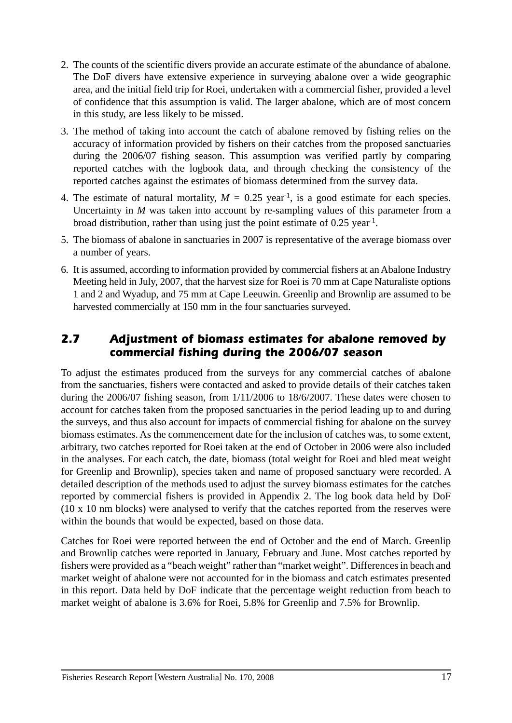- 2. The counts of the scientific divers provide an accurate estimate of the abundance of abalone. The DoF divers have extensive experience in surveying abalone over a wide geographic area, and the initial field trip for Roei, undertaken with a commercial fisher, provided a level of confidence that this assumption is valid. The larger abalone, which are of most concern in this study, are less likely to be missed.
- 3. The method of taking into account the catch of abalone removed by fishing relies on the accuracy of information provided by fishers on their catches from the proposed sanctuaries during the 2006/07 fishing season. This assumption was verified partly by comparing reported catches with the logbook data, and through checking the consistency of the reported catches against the estimates of biomass determined from the survey data.
- 4. The estimate of natural mortality,  $M = 0.25$  year<sup>-1</sup>, is a good estimate for each species. Uncertainty in *M* was taken into account by re-sampling values of this parameter from a broad distribution, rather than using just the point estimate of 0.25 year-1.
- 5. The biomass of abalone in sanctuaries in 2007 is representative of the average biomass over a number of years.
- 6. It is assumed, according to information provided by commercial fishers at an Abalone Industry Meeting held in July, 2007, that the harvest size for Roei is 70 mm at Cape Naturaliste options 1 and 2 and Wyadup, and 75 mm at Cape Leeuwin. Greenlip and Brownlip are assumed to be harvested commercially at 150 mm in the four sanctuaries surveyed.

# *2.7 Adjustment of biomass estimates for abalone removed by commercial fishing during the 2006/07 season*

To adjust the estimates produced from the surveys for any commercial catches of abalone from the sanctuaries, fishers were contacted and asked to provide details of their catches taken during the 2006/07 fishing season, from 1/11/2006 to 18/6/2007. These dates were chosen to account for catches taken from the proposed sanctuaries in the period leading up to and during the surveys, and thus also account for impacts of commercial fishing for abalone on the survey biomass estimates. As the commencement date for the inclusion of catches was, to some extent, arbitrary, two catches reported for Roei taken at the end of October in 2006 were also included in the analyses. For each catch, the date, biomass (total weight for Roei and bled meat weight for Greenlip and Brownlip), species taken and name of proposed sanctuary were recorded. A detailed description of the methods used to adjust the survey biomass estimates for the catches reported by commercial fishers is provided in Appendix 2. The log book data held by DoF (10 x 10 nm blocks) were analysed to verify that the catches reported from the reserves were within the bounds that would be expected, based on those data.

Catches for Roei were reported between the end of October and the end of March. Greenlip and Brownlip catches were reported in January, February and June. Most catches reported by fishers were provided as a "beach weight" rather than "market weight". Differences in beach and market weight of abalone were not accounted for in the biomass and catch estimates presented in this report. Data held by DoF indicate that the percentage weight reduction from beach to market weight of abalone is 3.6% for Roei, 5.8% for Greenlip and 7.5% for Brownlip.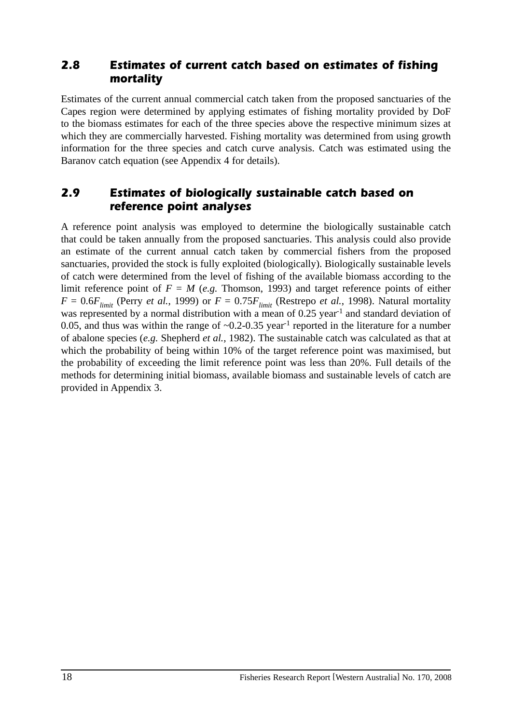### *2.8 Estimates of current catch based on estimates of fishing mortality*

Estimates of the current annual commercial catch taken from the proposed sanctuaries of the Capes region were determined by applying estimates of fishing mortality provided by DoF to the biomass estimates for each of the three species above the respective minimum sizes at which they are commercially harvested. Fishing mortality was determined from using growth information for the three species and catch curve analysis. Catch was estimated using the Baranov catch equation (see Appendix 4 for details).

## *2.9 Estimates of biologically sustainable catch based on reference point analyses*

A reference point analysis was employed to determine the biologically sustainable catch that could be taken annually from the proposed sanctuaries. This analysis could also provide an estimate of the current annual catch taken by commercial fishers from the proposed sanctuaries, provided the stock is fully exploited (biologically). Biologically sustainable levels of catch were determined from the level of fishing of the available biomass according to the limit reference point of  $F = M$  (*e.g.* Thomson, 1993) and target reference points of either  $F = 0.6F_{limit}$  (Perry *et al.*, 1999) or  $F = 0.75F_{limit}$  (Restrepo *et al.*, 1998). Natural mortality was represented by a normal distribution with a mean of 0.25 year<sup>-1</sup> and standard deviation of 0.05, and thus was within the range of  $\sim$ 0.2-0.35 year<sup>-1</sup> reported in the literature for a number of abalone species (*e.g.* Shepherd *et al.*, 1982). The sustainable catch was calculated as that at which the probability of being within 10% of the target reference point was maximised, but the probability of exceeding the limit reference point was less than 20%. Full details of the methods for determining initial biomass, available biomass and sustainable levels of catch are provided in Appendix 3.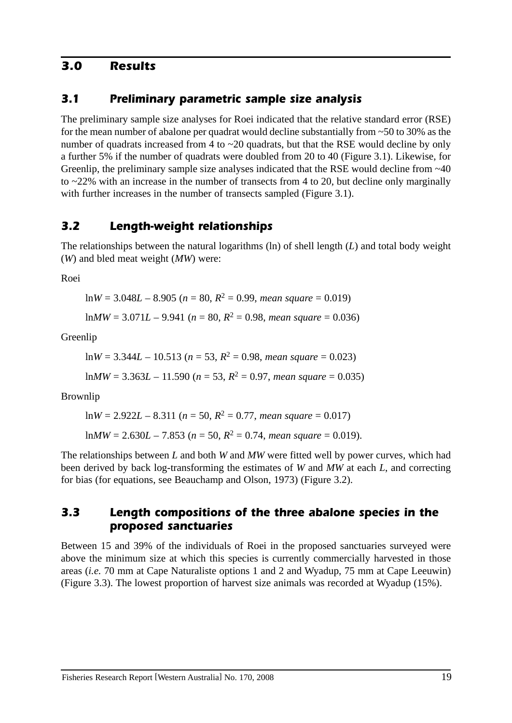### *3.0 Results*

### *3.1 Preliminary parametric sample size analysis*

The preliminary sample size analyses for Roei indicated that the relative standard error (RSE) for the mean number of abalone per quadrat would decline substantially from ~50 to 30% as the number of quadrats increased from 4 to ~20 quadrats, but that the RSE would decline by only a further 5% if the number of quadrats were doubled from 20 to 40 (Figure 3.1). Likewise, for Greenlip, the preliminary sample size analyses indicated that the RSE would decline from  $\sim$ 40 to ~22% with an increase in the number of transects from 4 to 20, but decline only marginally with further increases in the number of transects sampled (Figure 3.1).

## *3.2 Length-weight relationships*

The relationships between the natural logarithms (ln) of shell length (*L*) and total body weight (*W*) and bled meat weight (*MW*) were:

Roei

 $lnW = 3.048L - 8.905$  ( $n = 80$ ,  $R^2 = 0.99$ , *mean square =* 0.019)

 $lnMW = 3.071L - 9.941$  ( $n = 80$ ,  $R^2 = 0.98$ , *mean square =* 0.036)

Greenlip

$$
ln W = 3.344L - 10.513
$$
 ( $n = 53$ ,  $R^2 = 0.98$ , *mean square* = 0.023)

$$
lnMW = 3.363L - 11.590 (n = 53, R2 = 0.97, mean square = 0.035)
$$

Brownlip

$$
\ln W = 2.922L - 8.311 \ (n = 50, R^2 = 0.77, \text{ mean square} = 0.017)
$$
\n
$$
\ln MW = 2.630L - 7.853 \ (n = 50, R^2 = 0.74, \text{ mean square} = 0.019).
$$

The relationships between *L* and both *W* and *MW* were fitted well by power curves, which had been derived by back log-transforming the estimates of *W* and *MW* at each *L*, and correcting for bias (for equations, see Beauchamp and Olson, 1973) (Figure 3.2).

### *3.3 Length compositions of the three abalone species in the proposed sanctuaries*

Between 15 and 39% of the individuals of Roei in the proposed sanctuaries surveyed were above the minimum size at which this species is currently commercially harvested in those areas (*i.e.* 70 mm at Cape Naturaliste options 1 and 2 and Wyadup, 75 mm at Cape Leeuwin) (Figure 3.3). The lowest proportion of harvest size animals was recorded at Wyadup (15%).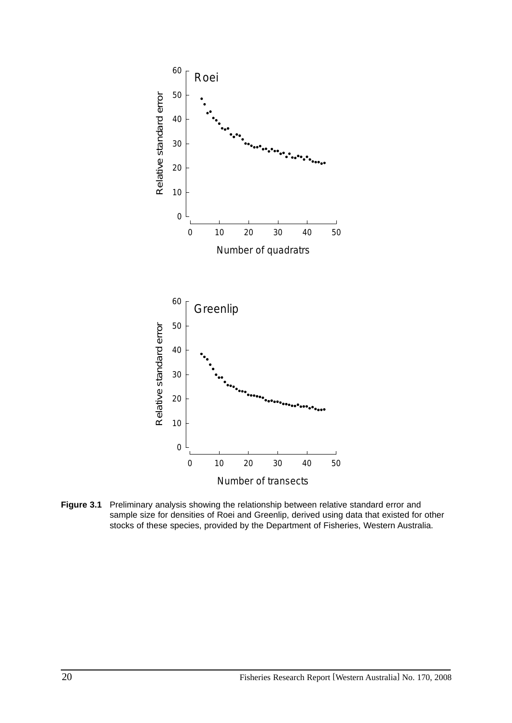

**Figure 3.1** Preliminary analysis showing the relationship between relative standard error and sample size for densities of Roei and Greenlip, derived using data that existed for other stocks of these species, provided by the Department of Fisheries, Western Australia.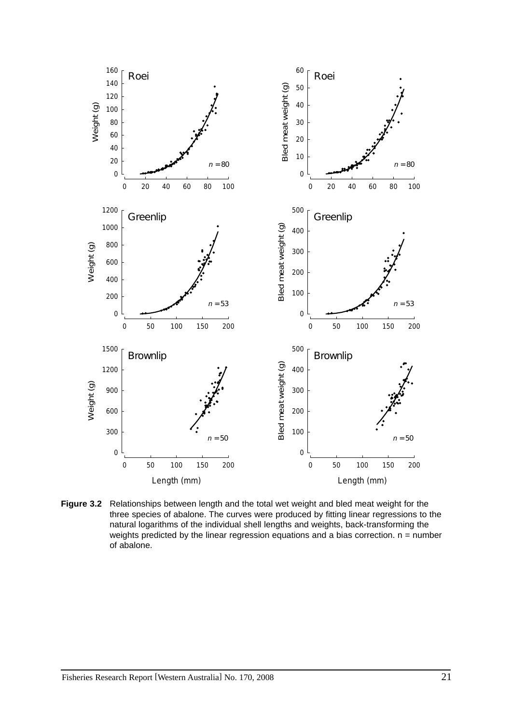

**Figure 3.2** Relationships between length and the total wet weight and bled meat weight for the three species of abalone. The curves were produced by fitting linear regressions to the natural logarithms of the individual shell lengths and weights, back-transforming the weights predicted by the linear regression equations and a bias correction.  $n = number$ of abalone.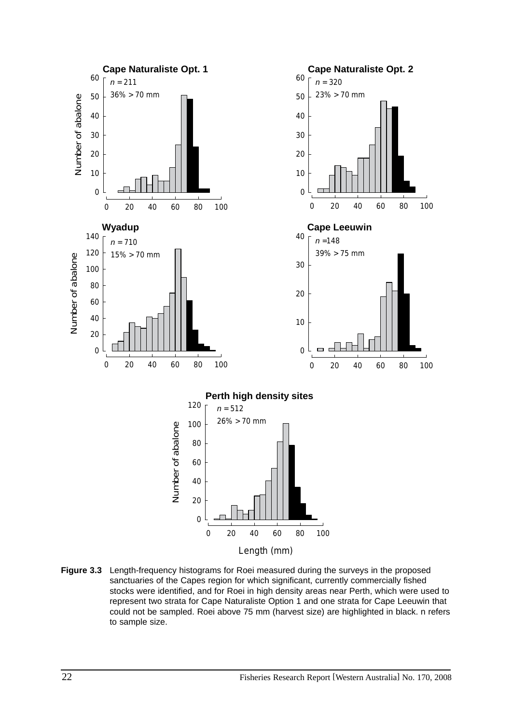

**Figure 3.3** Length-frequency histograms for Roei measured during the surveys in the proposed sanctuaries of the Capes region for which significant, currently commercially fished stocks were identified, and for Roei in high density areas near Perth, which were used to represent two strata for Cape Naturaliste Option 1 and one strata for Cape Leeuwin that could not be sampled. Roei above 75 mm (harvest size) are highlighted in black. n refers to sample size.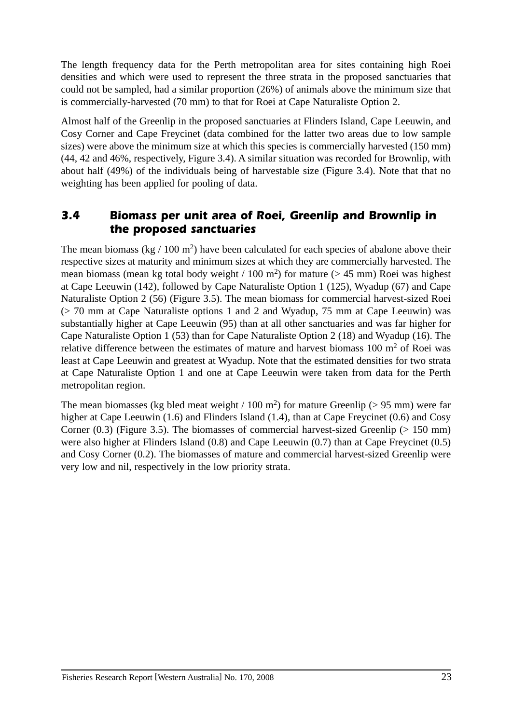The length frequency data for the Perth metropolitan area for sites containing high Roei densities and which were used to represent the three strata in the proposed sanctuaries that could not be sampled, had a similar proportion (26%) of animals above the minimum size that is commercially-harvested (70 mm) to that for Roei at Cape Naturaliste Option 2.

Almost half of the Greenlip in the proposed sanctuaries at Flinders Island, Cape Leeuwin, and Cosy Corner and Cape Freycinet (data combined for the latter two areas due to low sample sizes) were above the minimum size at which this species is commercially harvested (150 mm) (44, 42 and 46%, respectively, Figure 3.4). A similar situation was recorded for Brownlip, with about half (49%) of the individuals being of harvestable size (Figure 3.4). Note that that no weighting has been applied for pooling of data.

# *3.4 Biomass per unit area of Roei, Greenlip and Brownlip in the proposed sanctuaries*

The mean biomass (kg  $/ 100$  m<sup>2</sup>) have been calculated for each species of abalone above their respective sizes at maturity and minimum sizes at which they are commercially harvested. The mean biomass (mean kg total body weight / 100 m<sup>2</sup>) for mature ( $> 45$  mm) Roei was highest at Cape Leeuwin (142), followed by Cape Naturaliste Option 1 (125), Wyadup (67) and Cape Naturaliste Option 2 (56) (Figure 3.5). The mean biomass for commercial harvest-sized Roei (> 70 mm at Cape Naturaliste options 1 and 2 and Wyadup, 75 mm at Cape Leeuwin) was substantially higher at Cape Leeuwin (95) than at all other sanctuaries and was far higher for Cape Naturaliste Option 1 (53) than for Cape Naturaliste Option 2 (18) and Wyadup (16). The relative difference between the estimates of mature and harvest biomass  $100 \text{ m}^2$  of Roei was least at Cape Leeuwin and greatest at Wyadup. Note that the estimated densities for two strata at Cape Naturaliste Option 1 and one at Cape Leeuwin were taken from data for the Perth metropolitan region.

The mean biomasses (kg bled meat weight / 100 m<sup>2</sup>) for mature Greenlip ( $> 95$  mm) were far higher at Cape Leeuwin (1.6) and Flinders Island (1.4), than at Cape Freycinet (0.6) and Cosy Corner  $(0.3)$  (Figure 3.5). The biomasses of commercial harvest-sized Greenlip ( $> 150$  mm) were also higher at Flinders Island (0.8) and Cape Leeuwin (0.7) than at Cape Freycinet (0.5) and Cosy Corner (0.2). The biomasses of mature and commercial harvest-sized Greenlip were very low and nil, respectively in the low priority strata.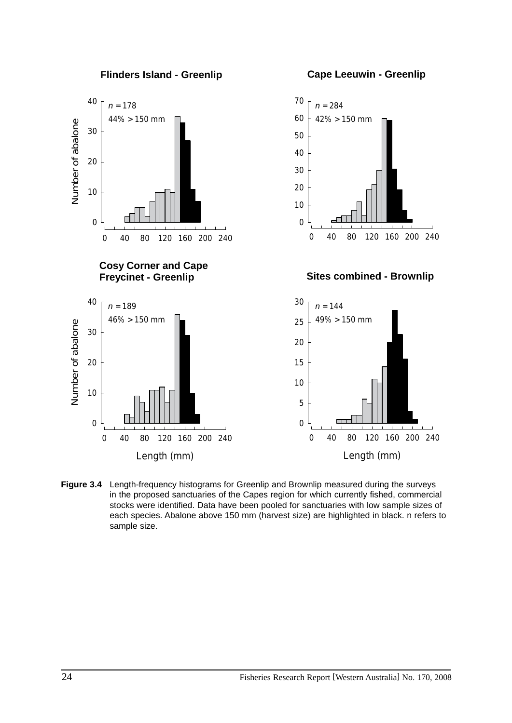

**Figure 3.4** Length-frequency histograms for Greenlip and Brownlip measured during the surveys in the proposed sanctuaries of the Capes region for which currently fished, commercial stocks were identified. Data have been pooled for sanctuaries with low sample sizes of each species. Abalone above 150 mm (harvest size) are highlighted in black. n refers to sample size.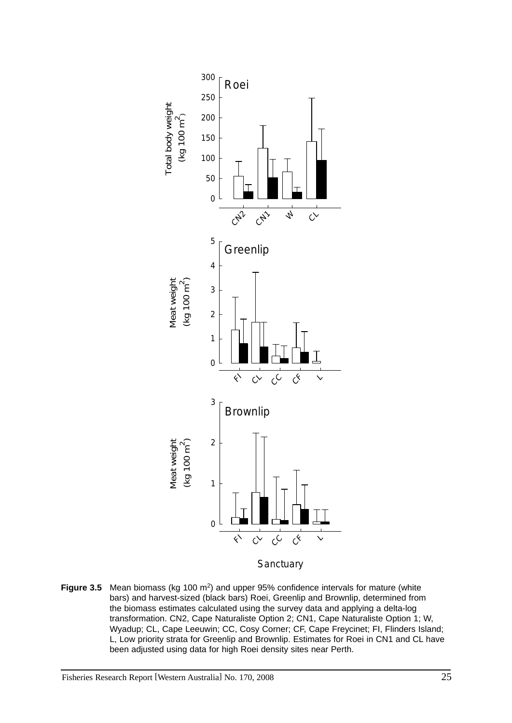

**Figure 3.5** Mean biomass (kg 100 m2) and upper 95% confidence intervals for mature (white bars) and harvest-sized (black bars) Roei, Greenlip and Brownlip, determined from the biomass estimates calculated using the survey data and applying a delta-log transformation. CN2, Cape Naturaliste Option 2; CN1, Cape Naturaliste Option 1; W, Wyadup; CL, Cape Leeuwin; CC, Cosy Corner; CF, Cape Freycinet; FI, Flinders Island; L, Low priority strata for Greenlip and Brownlip. Estimates for Roei in CN1 and CL have been adjusted using data for high Roei density sites near Perth.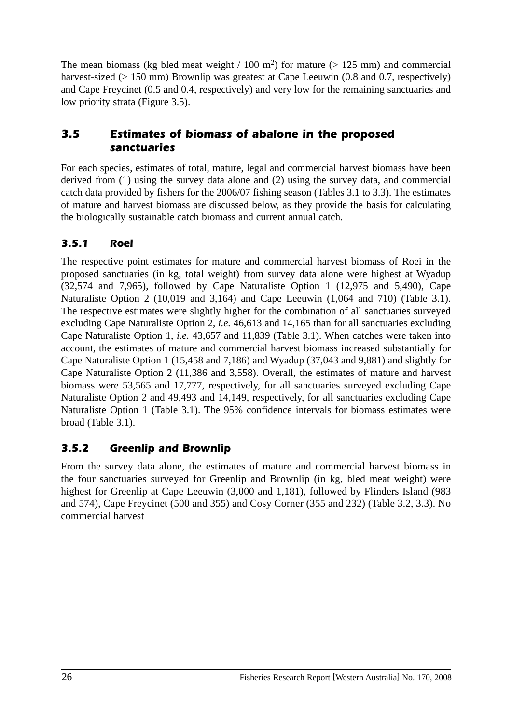The mean biomass (kg bled meat weight / 100 m<sup>2</sup>) for mature ( $> 125$  mm) and commercial harvest-sized (> 150 mm) Brownlip was greatest at Cape Leeuwin (0.8 and 0.7, respectively) and Cape Freycinet (0.5 and 0.4, respectively) and very low for the remaining sanctuaries and low priority strata (Figure 3.5).

# *3.5 Estimates of biomass of abalone in the proposed sanctuaries*

For each species, estimates of total, mature, legal and commercial harvest biomass have been derived from (1) using the survey data alone and (2) using the survey data, and commercial catch data provided by fishers for the 2006/07 fishing season (Tables 3.1 to 3.3). The estimates of mature and harvest biomass are discussed below, as they provide the basis for calculating the biologically sustainable catch biomass and current annual catch.

# *3.5.1 Roei*

The respective point estimates for mature and commercial harvest biomass of Roei in the proposed sanctuaries (in kg, total weight) from survey data alone were highest at Wyadup (32,574 and 7,965), followed by Cape Naturaliste Option 1 (12,975 and 5,490), Cape Naturaliste Option 2 (10,019 and 3,164) and Cape Leeuwin (1,064 and 710) (Table 3.1). The respective estimates were slightly higher for the combination of all sanctuaries surveyed excluding Cape Naturaliste Option 2, *i.e.* 46,613 and 14,165 than for all sanctuaries excluding Cape Naturaliste Option 1, *i.e.* 43,657 and 11,839 (Table 3.1). When catches were taken into account, the estimates of mature and commercial harvest biomass increased substantially for Cape Naturaliste Option 1 (15,458 and 7,186) and Wyadup (37,043 and 9,881) and slightly for Cape Naturaliste Option 2 (11,386 and 3,558). Overall, the estimates of mature and harvest biomass were 53,565 and 17,777, respectively, for all sanctuaries surveyed excluding Cape Naturaliste Option 2 and 49,493 and 14,149, respectively, for all sanctuaries excluding Cape Naturaliste Option 1 (Table 3.1). The 95% confidence intervals for biomass estimates were broad (Table 3.1).

# *3.5.2 Greenlip and Brownlip*

From the survey data alone, the estimates of mature and commercial harvest biomass in the four sanctuaries surveyed for Greenlip and Brownlip (in kg, bled meat weight) were highest for Greenlip at Cape Leeuwin (3,000 and 1,181), followed by Flinders Island (983 and 574), Cape Freycinet (500 and 355) and Cosy Corner (355 and 232) (Table 3.2, 3.3). No commercial harvest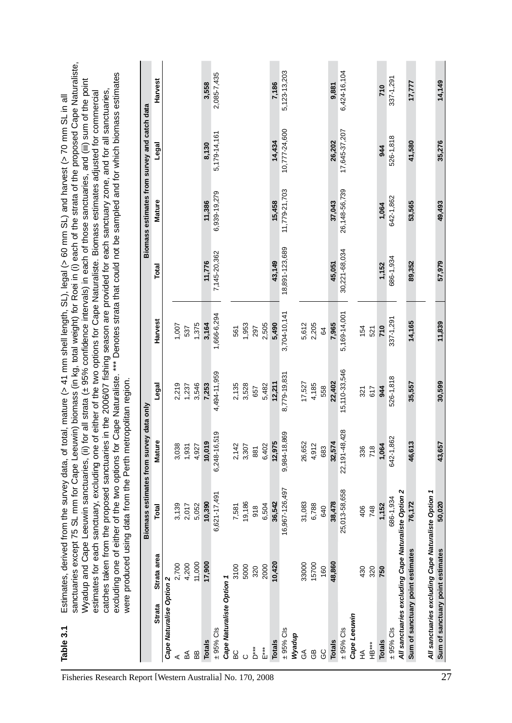| Cape Naturaliste Option 1<br>Cape Naturalise Option 2<br><b>Strata</b><br>$± 95%$ Cls<br>$\pm$ 95% Cls<br>Wyadup<br><b>Totals</b><br><b>Totals</b><br>ڎ<br>***<br>山<br><b>BC</b><br>BB<br>a∕a<br>⋖<br>$\circ$ | Strata area<br>11,000<br>17,900<br>4,200<br>2,700<br>3100<br>5000<br>2000<br>320 | Total          | Mature          | Biomass estimates from survey data only |              |                |               | Biomass estimates from survey and catch data |              |
|---------------------------------------------------------------------------------------------------------------------------------------------------------------------------------------------------------------|----------------------------------------------------------------------------------|----------------|-----------------|-----------------------------------------|--------------|----------------|---------------|----------------------------------------------|--------------|
|                                                                                                                                                                                                               |                                                                                  |                |                 | Legal                                   | Harvest      | Total          | Mature        | Legal                                        | Harvest      |
|                                                                                                                                                                                                               |                                                                                  |                |                 |                                         |              |                |               |                                              |              |
|                                                                                                                                                                                                               |                                                                                  | 3,139          | 3,038           | 2,219                                   | 1,007        |                |               |                                              |              |
|                                                                                                                                                                                                               |                                                                                  | 2,017          | 1,931           | 1,237                                   | 537          |                |               |                                              |              |
|                                                                                                                                                                                                               |                                                                                  | 5,052          | 4,927           | 3,546                                   | 1,375        |                |               |                                              |              |
|                                                                                                                                                                                                               |                                                                                  | 10,390         | 10,019          | 7,253                                   | 3,164        | 11,776         | 11,386        | 8,130                                        | 3,558        |
|                                                                                                                                                                                                               |                                                                                  | 6,621-17,491   | 6,248-16,519    | 4,494-11,959                            | 1,666-6,294  | 7,145-20,362   | 6,939-19,279  | 5,179-14,161                                 | 2,085-7,435  |
|                                                                                                                                                                                                               |                                                                                  |                |                 |                                         |              |                |               |                                              |              |
|                                                                                                                                                                                                               |                                                                                  | 7,581          | 2,142           | 2,135                                   | 561          |                |               |                                              |              |
|                                                                                                                                                                                                               |                                                                                  | 19,186         | 3,307           | 3,528                                   | 1,953        |                |               |                                              |              |
|                                                                                                                                                                                                               |                                                                                  | 918            | 881             | 657                                     | 297          |                |               |                                              |              |
|                                                                                                                                                                                                               |                                                                                  | 6,504          | 6,402           | 5,482                                   | 2,505        |                |               |                                              |              |
|                                                                                                                                                                                                               | 10,420                                                                           | 36,542         | 12,975          | 12,211                                  | 5,490        | 43,149         | 15,458        | 14,434                                       | 7,186        |
|                                                                                                                                                                                                               |                                                                                  | 16,967-126,497 | 9,984-18,869    | 8,779-19,831                            | 3,704-10,141 | 18,891-123,689 | 11,779-21,703 | 10,777-24,600                                | 5,123-13,203 |
|                                                                                                                                                                                                               |                                                                                  |                |                 |                                         |              |                |               |                                              |              |
| $\mathfrak{F}$                                                                                                                                                                                                | 33000                                                                            | 31,083         | 26,652          | 17,527                                  | 5,612        |                |               |                                              |              |
| සි                                                                                                                                                                                                            | 15700                                                                            | 6,788          | 4,912           | 4,185                                   | 2,205        |                |               |                                              |              |
| ပ္ပ                                                                                                                                                                                                           | 160                                                                              | 640            | 683             | 558                                     | 64           |                |               |                                              |              |
| <b>Totals</b>                                                                                                                                                                                                 | 48,860                                                                           | 38,478         | 32,574          | 22,402                                  | 7,965        | 45,051         | 37,043        | 26,202                                       | 9,881        |
| $\pm$ 95% Cls                                                                                                                                                                                                 |                                                                                  | 25,013-58,658  | 22, 191-48, 428 | 15,110-33,546                           | 5,169-14,001 | 30,221-68,034  | 26,148-56,739 | 17,645-37,207                                | 6,424-16,104 |
| Cape Leeuwin                                                                                                                                                                                                  |                                                                                  |                |                 |                                         |              |                |               |                                              |              |
| ₹<br>¥                                                                                                                                                                                                        | 430                                                                              | 406            | 336             | 321                                     | 154          |                |               |                                              |              |
| HB***                                                                                                                                                                                                         | 320                                                                              | 748            | 718             | 617                                     | 521          |                |               |                                              |              |
| <b>Totals</b>                                                                                                                                                                                                 | 750                                                                              | 1,152          | 1,064           | 944                                     | 710          | 1,152          | 1,064         | 944                                          | 710          |
| $\pm$ 95% Cls                                                                                                                                                                                                 |                                                                                  | 686-1,934      | 642-1,862       | 526-1,818                               | 337-1,291    | 686-1,934      | 642-1,862     | 526-1,818                                    | 337-1,291    |
| All sanctuaries excluding Cape Naturaliste Option 2                                                                                                                                                           |                                                                                  |                |                 |                                         |              |                |               |                                              |              |
| Sum of sanctuary point estimates                                                                                                                                                                              |                                                                                  | 76,172         | 46,613          | 35,557                                  | 14,165       | 89,352         | 53,565        | 41,580                                       | 17,777       |
| All sanctuaries excluding Cape Naturaliste Option 1                                                                                                                                                           |                                                                                  |                |                 |                                         |              |                |               |                                              |              |
| sanctuary point estimates<br>Sum of                                                                                                                                                                           |                                                                                  | 50.020         | 43,657          | 30.599                                  | 11,839       | 57,979         | 49,493        | 35,276                                       | 14,149       |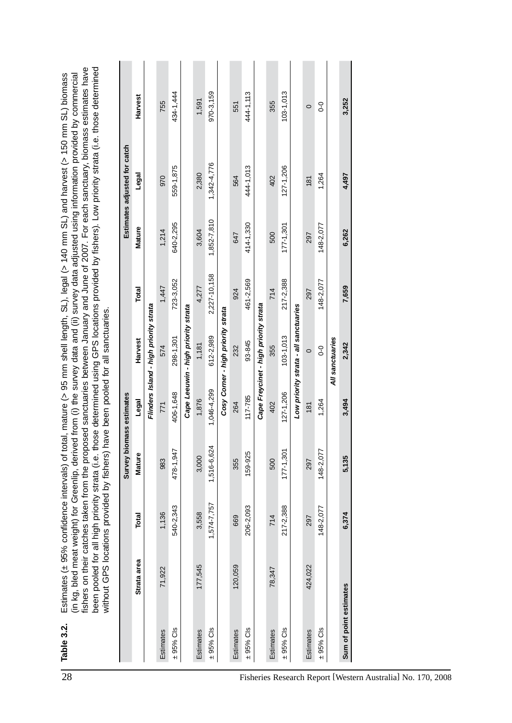|                                                             |                        |             |              | Survey bi                  | omass estimates |                                        |              |             | Estimates adjusted for catch |                   |
|-------------------------------------------------------------|------------------------|-------------|--------------|----------------------------|-----------------|----------------------------------------|--------------|-------------|------------------------------|-------------------|
|                                                             |                        | Strata area | <b>Total</b> | <b>Mature</b>              | Legal           | Harvest                                | Total        | Mature      | Legal                        | Harvest           |
|                                                             |                        |             |              |                            |                 | Flinders Island - high priority strata |              |             |                              |                   |
|                                                             | Estimates              | 71,922      | 1,136        | 983                        | 771             | 574                                    | 1,447        | 1,214       | 970                          | 755               |
|                                                             | $\pm$ 95% Cls          |             | 540-2,343    | 478-1,947                  | 406-1,648       | 298-1,301                              | 723-3,052    | 640-2,295   | 559-1,875                    | 434-1,444         |
|                                                             |                        |             |              |                            |                 | Cape Leeuwin - high priority strata    |              |             |                              |                   |
|                                                             | Estimates              | 177.545     | 3,558        | 3,000                      | 1,876           | 1,181                                  | 4.277        | 3,604       | 2,380                        | 1,591             |
|                                                             | $\pm$ 95% Cls          |             | 1,574-7,757  | $\mathbf{+}$<br>1,516-6,62 | 1,046-4,299     | 612-2,989                              | 2,227-10,158 | 1,852-7,810 | 1,342-4,776                  | 970-3,159         |
|                                                             |                        |             |              |                            |                 | Cosy Corner - high priority strata     |              |             |                              |                   |
|                                                             | Estimates              | 120,059     | 669          | 355                        | 264             | 232                                    | 924          | 647         | 564                          | 551               |
|                                                             | $\pm$ 95% Cls          |             | 206-2,093    | 159-925                    | 117-785         | 93-845                                 | 461-2,569    | 414-1,330   | 444-1,013                    | 444-1,113         |
|                                                             |                        |             |              |                            |                 | Cape Freycinet - high priority strata  |              |             |                              |                   |
|                                                             | Estimates              | 78,347      | 714          | 500                        | 402             | 355                                    | 714          | 500         | 402                          | 355               |
|                                                             | $\pm$ 95% Cls          |             | 217-2,388    | $177 - 1,301$              | $127 - 1,206$   | $103 - 1,013$                          | 217-2,388    | 177-1,301   | $127 - 1,206$                | $103 - 1,013$     |
|                                                             |                        |             |              |                            |                 | Low priority strata - all sanctuaries  |              |             |                              |                   |
|                                                             | Estimates              | 424,022     | 297          | 297                        | 181             | $\circ$                                | 297          | 297         | 181                          | $\circ$           |
|                                                             | $\pm$ 95% Cls          |             | 148-2,077    | 148-2,077                  | 1,264           | $0 - 0$                                | 148-2,077    | 148-2,077   | 1,264                        | $\overline{0}$ -0 |
|                                                             |                        |             |              |                            |                 | All sanctuaries                        |              |             |                              |                   |
|                                                             | Sum of point estimates |             | 6,374        | 5,135                      | 3,494           | 2,342                                  | 7,659        | 6,262       | 4,497                        | 3,252             |
|                                                             |                        |             |              |                            |                 |                                        |              |             |                              |                   |
|                                                             |                        |             |              |                            |                 |                                        |              |             |                              |                   |
|                                                             |                        |             |              |                            |                 |                                        |              |             |                              |                   |
|                                                             |                        |             |              |                            |                 |                                        |              |             |                              |                   |
| Fisheries Research Report [Western Australia] No. 170, 2008 |                        |             |              |                            |                 |                                        |              |             |                              |                   |
|                                                             |                        |             |              |                            |                 |                                        |              |             |                              |                   |
|                                                             |                        |             |              |                            |                 |                                        |              |             |                              |                   |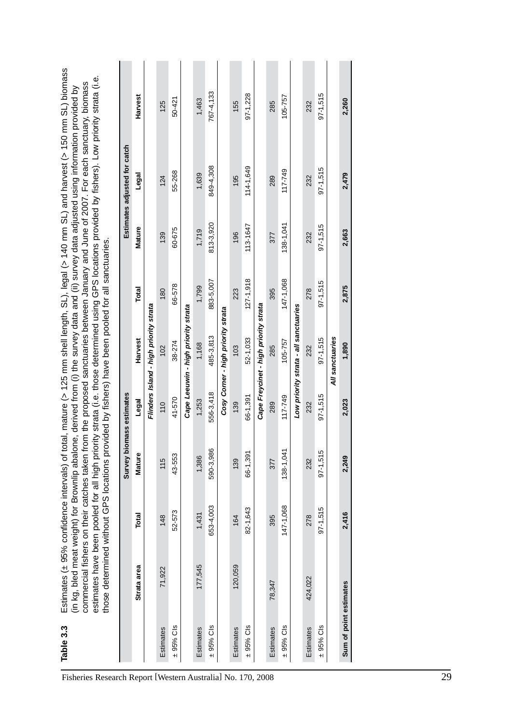| Table 3.3        | those determined without GPS locations provided by fishers) have been pooled for all sanctuaries. |              |                          |              |                                        |               |              | estimates have been pooled for all high priority strata (i.e. those determined using GPS locations provided by fishers). Low priority strata (i.e.<br>commercial fishers on their catches taken from the proposed sanctuaries between January and June of 2007. For each sanctuary, biomass<br>(in kg, bled meat weight) for Brownlip abalone, derived from (i) the survey data and (ii) survey data adjusted using information provided by | Estimates (± 95% confidence intervals) of total, mature (> 125 mm shell length, SL), legal (> 140 mm SL) and harvest (> 150 mm SL) biomass |
|------------------|---------------------------------------------------------------------------------------------------|--------------|--------------------------|--------------|----------------------------------------|---------------|--------------|---------------------------------------------------------------------------------------------------------------------------------------------------------------------------------------------------------------------------------------------------------------------------------------------------------------------------------------------------------------------------------------------------------------------------------------------|--------------------------------------------------------------------------------------------------------------------------------------------|
|                  |                                                                                                   |              | Survey biomass estimates |              |                                        |               |              | Estimates adjusted for catch                                                                                                                                                                                                                                                                                                                                                                                                                |                                                                                                                                            |
|                  | Strata area                                                                                       | <b>Total</b> | Mature                   | Legal        | Harvest                                | Total         | Mature       | Legal                                                                                                                                                                                                                                                                                                                                                                                                                                       | Harvest                                                                                                                                    |
|                  |                                                                                                   |              |                          |              | Flinders Island - high priority strata |               |              |                                                                                                                                                                                                                                                                                                                                                                                                                                             |                                                                                                                                            |
| Estimates        | 71,922                                                                                            | 148          | 115                      | 110          | 102                                    | 180           | 139          | 124                                                                                                                                                                                                                                                                                                                                                                                                                                         | 125                                                                                                                                        |
| $± 95%$ Cls      |                                                                                                   | 52-573       | 43-553                   | 41-570       | 38-274                                 | 66-578        | 60-675       | 55-268                                                                                                                                                                                                                                                                                                                                                                                                                                      | $50 - 42$                                                                                                                                  |
|                  |                                                                                                   |              |                          |              | Cape Leeuwin - high priority strata    |               |              |                                                                                                                                                                                                                                                                                                                                                                                                                                             |                                                                                                                                            |
| <b>Estimates</b> | 177,545                                                                                           | 1,431        | 1,386                    | 1,253        | 1,168                                  | 1,799         | 1,719        | 1,639                                                                                                                                                                                                                                                                                                                                                                                                                                       | 1,463                                                                                                                                      |
| $± 95%$ Cls      |                                                                                                   | 653-4,003    | 590-3,986                | 556-3,418    | 485-3,813                              | 883-5,007     | 813-3.920    | 849-4,308                                                                                                                                                                                                                                                                                                                                                                                                                                   | 767-4,133                                                                                                                                  |
|                  |                                                                                                   |              |                          |              | Cosy Corner - high priority strata     |               |              |                                                                                                                                                                                                                                                                                                                                                                                                                                             |                                                                                                                                            |
| Estimates        | 120,059                                                                                           | 164          | 139                      | 139          | 103                                    | 23            | 196          | 195                                                                                                                                                                                                                                                                                                                                                                                                                                         | 155                                                                                                                                        |
| $± 95%$ Cls      |                                                                                                   | 82-1,643     | 66-1,391                 | 66-1,391     | 52-1,033                               | $127 - 1,918$ | 113-1647     | 114-1,649                                                                                                                                                                                                                                                                                                                                                                                                                                   | 97-1,228                                                                                                                                   |
|                  |                                                                                                   |              |                          |              | Cape Freycinet - high priority strata  |               |              |                                                                                                                                                                                                                                                                                                                                                                                                                                             |                                                                                                                                            |
| <b>Estimates</b> | 78,347                                                                                            | 395          | <b>S77</b>               | 289          | 285                                    | 395           | 377          | 289                                                                                                                                                                                                                                                                                                                                                                                                                                         | 285                                                                                                                                        |
| $\pm$ 95% Cls    |                                                                                                   | 147-1.068    | 138-1,041                | 117-749      | 105-757                                | 147-1,068     | 138-1,041    | $117 - 749$                                                                                                                                                                                                                                                                                                                                                                                                                                 | 105-757                                                                                                                                    |
|                  |                                                                                                   |              |                          |              | Low priority strata - all sanctuaries  |               |              |                                                                                                                                                                                                                                                                                                                                                                                                                                             |                                                                                                                                            |
| Estimates        | 424,022                                                                                           | 278          | 232                      | 232          | 232                                    | 278           | 232          | 232                                                                                                                                                                                                                                                                                                                                                                                                                                         | 232                                                                                                                                        |
| $± 95%$ Cls      |                                                                                                   | $97 - 1,515$ | $97 - 1,515$             | $97 - 1,515$ | $97 - 1,515$                           | $97 - 1,515$  | $97 - 1,515$ | $97 - 1,515$                                                                                                                                                                                                                                                                                                                                                                                                                                | $97 - 1,515$                                                                                                                               |
|                  |                                                                                                   |              |                          |              | All sanctuaries                        |               |              |                                                                                                                                                                                                                                                                                                                                                                                                                                             |                                                                                                                                            |
|                  | Sum of point estimates                                                                            | 2,416        | 2,249                    | 2,023        | 1,890                                  | 2,875         | 2,663        | 2,479                                                                                                                                                                                                                                                                                                                                                                                                                                       | 2,260                                                                                                                                      |
|                  |                                                                                                   |              |                          |              |                                        |               |              |                                                                                                                                                                                                                                                                                                                                                                                                                                             |                                                                                                                                            |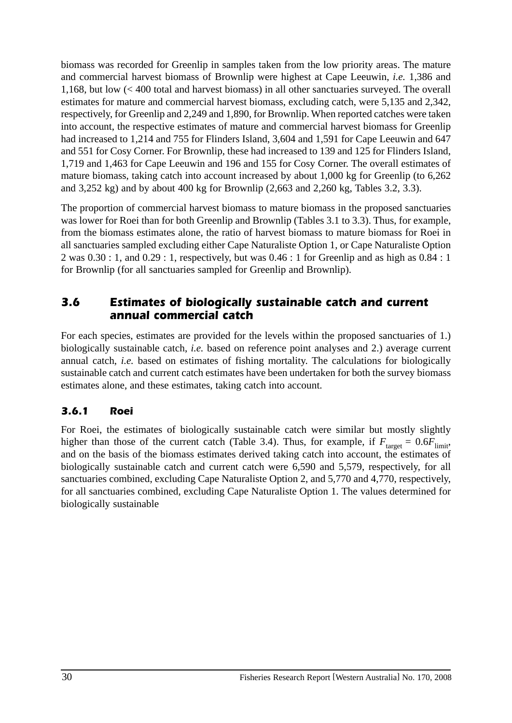biomass was recorded for Greenlip in samples taken from the low priority areas. The mature and commercial harvest biomass of Brownlip were highest at Cape Leeuwin, *i.e.* 1,386 and 1,168, but low (< 400 total and harvest biomass) in all other sanctuaries surveyed. The overall estimates for mature and commercial harvest biomass, excluding catch, were 5,135 and 2,342, respectively, for Greenlip and 2,249 and 1,890, for Brownlip. When reported catches were taken into account, the respective estimates of mature and commercial harvest biomass for Greenlip had increased to 1,214 and 755 for Flinders Island, 3,604 and 1,591 for Cape Leeuwin and 647 and 551 for Cosy Corner. For Brownlip, these had increased to 139 and 125 for Flinders Island, 1,719 and 1,463 for Cape Leeuwin and 196 and 155 for Cosy Corner. The overall estimates of mature biomass, taking catch into account increased by about 1,000 kg for Greenlip (to 6,262 and 3,252 kg) and by about 400 kg for Brownlip (2,663 and 2,260 kg, Tables 3.2, 3.3).

The proportion of commercial harvest biomass to mature biomass in the proposed sanctuaries was lower for Roei than for both Greenlip and Brownlip (Tables 3.1 to 3.3). Thus, for example, from the biomass estimates alone, the ratio of harvest biomass to mature biomass for Roei in all sanctuaries sampled excluding either Cape Naturaliste Option 1, or Cape Naturaliste Option 2 was 0.30 : 1, and 0.29 : 1, respectively, but was 0.46 : 1 for Greenlip and as high as 0.84 : 1 for Brownlip (for all sanctuaries sampled for Greenlip and Brownlip).

# *3.6 Estimates of biologically sustainable catch and current annual commercial catch*

For each species, estimates are provided for the levels within the proposed sanctuaries of 1.) biologically sustainable catch, *i.e.* based on reference point analyses and 2.) average current annual catch, *i.e.* based on estimates of fishing mortality. The calculations for biologically sustainable catch and current catch estimates have been undertaken for both the survey biomass estimates alone, and these estimates, taking catch into account.

### *3.6.1 Roei*

For Roei, the estimates of biologically sustainable catch were similar but mostly slightly higher than those of the current catch (Table 3.4). Thus, for example, if  $F_{\text{target}} = 0.6F_{\text{limit}}$ , and on the basis of the biomass estimates derived taking catch into account, the estimates of biologically sustainable catch and current catch were 6,590 and 5,579, respectively, for all sanctuaries combined, excluding Cape Naturaliste Option 2, and 5,770 and 4,770, respectively, for all sanctuaries combined, excluding Cape Naturaliste Option 1. The values determined for biologically sustainable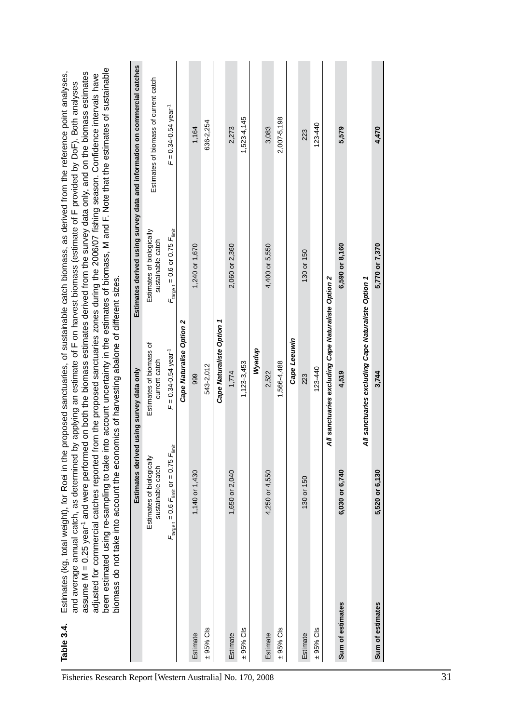|                  | biomass do not take into account the economics of harvesting abalone of different sizes. |                                                     |                                                | been estimated using re-sampling to take into account uncertainty in the estimates of biomass, M and F. Note that the estimates of sustainable<br>assume M = 0.25 year <sup>-1</sup> and were performed on both the biomass estimates derived from the survey data only, and on the biomass estimates<br>adjusted for commercial catches reported from the proposed sanctuaries zones during the 2006/07 fishing season. Confidence intervals have<br>and average annual catch, as determined by applying an estimate of F on harvest biomass (estimate of F provided by DoF). Both analyses |
|------------------|------------------------------------------------------------------------------------------|-----------------------------------------------------|------------------------------------------------|----------------------------------------------------------------------------------------------------------------------------------------------------------------------------------------------------------------------------------------------------------------------------------------------------------------------------------------------------------------------------------------------------------------------------------------------------------------------------------------------------------------------------------------------------------------------------------------------|
|                  | Estimates derived using survey data only                                                 |                                                     |                                                | Estimates derived using survey data and information on commercial catches                                                                                                                                                                                                                                                                                                                                                                                                                                                                                                                    |
|                  | Estimates of biologically<br>sustainable catch                                           | Estimates of biomass of<br>current catch            | Estimates of biologically<br>sustainable catch | Estimates of biomass of current catch                                                                                                                                                                                                                                                                                                                                                                                                                                                                                                                                                        |
|                  | $F_{\text{target}} = 0.6 F_{\text{limit}}$ or = 0.75 $F_{\text{limit}}$                  | $F = 0.34 - 0.54$ year <sup>-1</sup>                | $F_{\rm target}$ = 0.6 or 0.75 $F_{\rm limit}$ | $F = 0.34 - 0.54$ year <sup>-1</sup>                                                                                                                                                                                                                                                                                                                                                                                                                                                                                                                                                         |
|                  |                                                                                          | Cape Naturalise Option 2                            |                                                |                                                                                                                                                                                                                                                                                                                                                                                                                                                                                                                                                                                              |
| Estimate         | 1,140 or 1,430                                                                           | 999                                                 | 1,240 or 1,670                                 | 1,164                                                                                                                                                                                                                                                                                                                                                                                                                                                                                                                                                                                        |
| $± 95%$ Cls      |                                                                                          | 543-2,012                                           |                                                | 636-2,254                                                                                                                                                                                                                                                                                                                                                                                                                                                                                                                                                                                    |
|                  |                                                                                          | Cape Naturaliste Option 1                           |                                                |                                                                                                                                                                                                                                                                                                                                                                                                                                                                                                                                                                                              |
| Estimate         | 1,650 or 2,040                                                                           | 1,774                                               | 2,060 or 2,360                                 | 2,273                                                                                                                                                                                                                                                                                                                                                                                                                                                                                                                                                                                        |
| $± 95%$ Cls      |                                                                                          | $1,123-3,453$                                       |                                                | 1,523-4,145                                                                                                                                                                                                                                                                                                                                                                                                                                                                                                                                                                                  |
|                  |                                                                                          | Wyadup                                              |                                                |                                                                                                                                                                                                                                                                                                                                                                                                                                                                                                                                                                                              |
| Estimate         | 4,250 or 4,550                                                                           | 2,522                                               | 4,400 or 5,550                                 | 3,083                                                                                                                                                                                                                                                                                                                                                                                                                                                                                                                                                                                        |
| $\pm$ 95% Cls    |                                                                                          | 1,566-4,488                                         |                                                | 2,007-5,198                                                                                                                                                                                                                                                                                                                                                                                                                                                                                                                                                                                  |
|                  |                                                                                          | Cape Leeuwin                                        |                                                |                                                                                                                                                                                                                                                                                                                                                                                                                                                                                                                                                                                              |
| Estimate         | 130 or 150                                                                               | 223                                                 | 130 or 150                                     | 223                                                                                                                                                                                                                                                                                                                                                                                                                                                                                                                                                                                          |
| $± 95%$ Cls      |                                                                                          | 123-440                                             |                                                | 123-440                                                                                                                                                                                                                                                                                                                                                                                                                                                                                                                                                                                      |
|                  |                                                                                          | All sanctuaries excluding Cape Naturaliste Option 2 |                                                |                                                                                                                                                                                                                                                                                                                                                                                                                                                                                                                                                                                              |
| Sum of estimates | 6,030 or 6,740                                                                           | 4,519                                               | 6,590 or 8,160                                 | 5,579                                                                                                                                                                                                                                                                                                                                                                                                                                                                                                                                                                                        |
|                  |                                                                                          | All sanctuaries excluding Cape Naturaliste Option 1 |                                                |                                                                                                                                                                                                                                                                                                                                                                                                                                                                                                                                                                                              |
| Sum of estimates | 5,520 or 6,130                                                                           | 3,744                                               | 5,770 or 7,370                                 | 4,470                                                                                                                                                                                                                                                                                                                                                                                                                                                                                                                                                                                        |

**Table 3.4.** Estimates (kg, total weight), for Roei in the proposed sanctuaries, of sustainable catch biomass, as derived from the reference point analyses, Table 3.4. Estimates (kg, total weight), for Roei in the proposed sanctuaries, of sustainable catch biomass, as derived from the reference point analyses,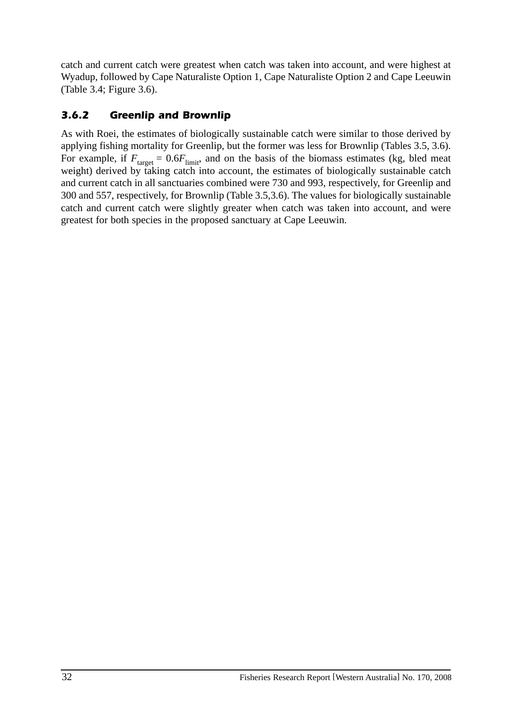catch and current catch were greatest when catch was taken into account, and were highest at Wyadup, followed by Cape Naturaliste Option 1, Cape Naturaliste Option 2 and Cape Leeuwin (Table 3.4; Figure 3.6).

## *3.6.2 Greenlip and Brownlip*

As with Roei, the estimates of biologically sustainable catch were similar to those derived by applying fishing mortality for Greenlip, but the former was less for Brownlip (Tables 3.5, 3.6). For example, if  $F_{\text{target}} = 0.6F_{\text{limit}}$ , and on the basis of the biomass estimates (kg, bled meat weight) derived by taking catch into account, the estimates of biologically sustainable catch and current catch in all sanctuaries combined were 730 and 993, respectively, for Greenlip and 300 and 557, respectively, for Brownlip (Table 3.5,3.6). The values for biologically sustainable catch and current catch were slightly greater when catch was taken into account, and were greatest for both species in the proposed sanctuary at Cape Leeuwin.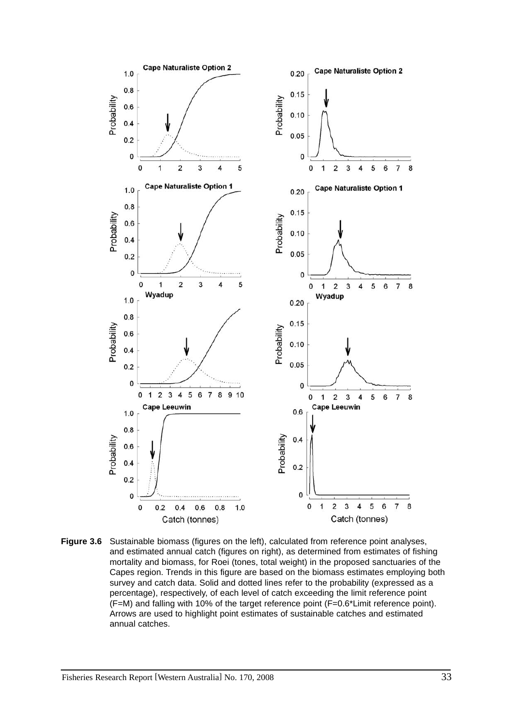

**Figure 3.6** Sustainable biomass (figures on the left), calculated from reference point analyses, and estimated annual catch (figures on right), as determined from estimates of fishing mortality and biomass, for Roei (tones, total weight) in the proposed sanctuaries of the Capes region. Trends in this figure are based on the biomass estimates employing both survey and catch data. Solid and dotted lines refer to the probability (expressed as a percentage), respectively, of each level of catch exceeding the limit reference point (F=M) and falling with 10% of the target reference point (F=0.6\*Limit reference point). Arrows are used to highlight point estimates of sustainable catches and estimated annual catches.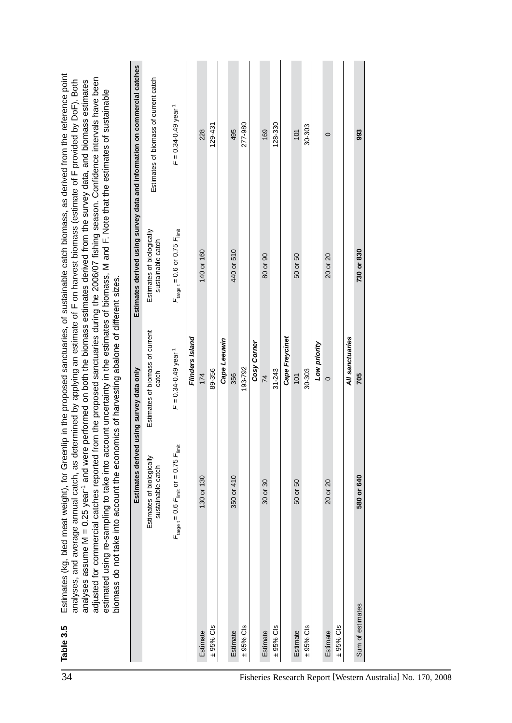|                                                             |                  | Estimates derived                                                       | using survey data only                   |                                                      | Estimates derived using survey data and information on commercial catches |
|-------------------------------------------------------------|------------------|-------------------------------------------------------------------------|------------------------------------------|------------------------------------------------------|---------------------------------------------------------------------------|
|                                                             |                  | Estimates of biologically<br>sustainable catch                          | Estimates of biomass of current<br>catch | Estimates of biologically<br>sustainable catch       | Estimates of biomass of current catch                                     |
|                                                             |                  | $F_{\text{target}} = 0.6 F_{\text{limit}}$ or = 0.75 $F_{\text{limit}}$ | $F = 0.34 - 0.49$ year <sup>-1</sup>     | $F_{\text{target}} = 0.6$ or 0.75 $F_{\text{limit}}$ | $F = 0.34 - 0.49$ year <sup>-1</sup>                                      |
|                                                             |                  |                                                                         | Flinders Island                          |                                                      |                                                                           |
|                                                             | Estimate         | 130 or 130                                                              | 174                                      | 140 or 160                                           | 228                                                                       |
|                                                             | $\pm$ 95% Cls    |                                                                         | 89-356                                   |                                                      | 129-431                                                                   |
|                                                             |                  |                                                                         | Cape Leeuwin                             |                                                      |                                                                           |
|                                                             | Estimate         | 350 or 410                                                              | 356                                      | 440 or 510                                           | 495                                                                       |
|                                                             | $± 95%$ Cls      |                                                                         | 193-792                                  |                                                      | 277-980                                                                   |
|                                                             |                  |                                                                         | Cosy Corner                              |                                                      |                                                                           |
|                                                             | Estimate         | $30$ or $30$                                                            | $\overline{74}$                          | 80 or 90                                             | 169                                                                       |
|                                                             | $± 95%$ Cls      |                                                                         | $31 - 243$                               |                                                      | 128-330                                                                   |
|                                                             |                  |                                                                         | Cape Freycinet                           |                                                      |                                                                           |
|                                                             | Estimate         | 50<br>ŏ<br>50                                                           | 101                                      | 50 or 50                                             | 101                                                                       |
|                                                             | $\pm$ 95% Cls    |                                                                         | 30-303                                   |                                                      | 30-303                                                                    |
|                                                             |                  |                                                                         | Low priority                             |                                                      |                                                                           |
|                                                             | Estimate         | $\overline{c}$<br>ŏ<br>$\overline{20}$                                  | $\circ$                                  | 20 or 20                                             | $\circ$                                                                   |
|                                                             | $\pm$ 95% Cls    |                                                                         |                                          |                                                      |                                                                           |
|                                                             |                  |                                                                         | All sanctuaries                          |                                                      |                                                                           |
|                                                             | Sum of estimates | 580 or 640                                                              | 705                                      | 730 or 830                                           | 993                                                                       |
| Fisheries Research Report [Western Australia] No. 170, 2008 |                  |                                                                         |                                          |                                                      |                                                                           |
|                                                             |                  |                                                                         |                                          |                                                      |                                                                           |
|                                                             |                  |                                                                         |                                          |                                                      |                                                                           |
|                                                             |                  |                                                                         |                                          |                                                      |                                                                           |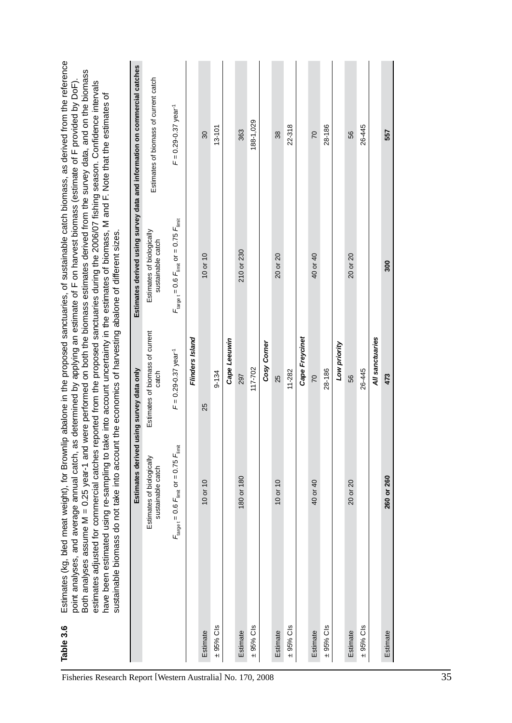| Table 3.6     | Estimates (kg, bled meat weight), for Brownlip abalone in the proposed sanctuaries, of sustainable catch biomass, as derived from the reference<br>Both analyses assume M = 0.25 year-1 and were performed on both the biomass estimates derived from the survey data, and on the biomass<br>estimates adjusted for commercial catches reported from the proposed sanctuaries during the 2006/07 fishing season. Confidence intervals<br>point analyses, and average annual catch, as determined by applying an estimate of F on harvest biomass (estimate of F provided by DoF)<br>have been estimated using re-sampling to take into account uncertainty in the estimates of biomass, M and F. Note that the estimates of<br>sustainable biomass do not take into account | the economics of harvesting abalone of different sizes. |                                                                         |                                                                           |
|---------------|-----------------------------------------------------------------------------------------------------------------------------------------------------------------------------------------------------------------------------------------------------------------------------------------------------------------------------------------------------------------------------------------------------------------------------------------------------------------------------------------------------------------------------------------------------------------------------------------------------------------------------------------------------------------------------------------------------------------------------------------------------------------------------|---------------------------------------------------------|-------------------------------------------------------------------------|---------------------------------------------------------------------------|
|               | Estimates derived                                                                                                                                                                                                                                                                                                                                                                                                                                                                                                                                                                                                                                                                                                                                                           | using survey data only                                  |                                                                         | Estimates derived using survey data and information on commercial catches |
|               | Estimates of biologically<br>sustainable catch                                                                                                                                                                                                                                                                                                                                                                                                                                                                                                                                                                                                                                                                                                                              | Estimates of biomass of current<br>catch                | Estimates of biologically<br>sustainable catch                          | Estimates of biomass of current catch                                     |
|               | $F_{\text{target}} = 0.6$ $F_{\text{limit}}$ or $= 0.75$ $F_{\text{limit}}$                                                                                                                                                                                                                                                                                                                                                                                                                                                                                                                                                                                                                                                                                                 | $F = 0.29 - 0.37$ year <sup>-1</sup>                    | $F_{\text{target}} = 0.6 F_{\text{limit}}$ or = 0.75 $F_{\text{limit}}$ | $F = 0.29 - 0.37$ year <sup>-1</sup>                                      |
|               |                                                                                                                                                                                                                                                                                                                                                                                                                                                                                                                                                                                                                                                                                                                                                                             | Flinders Island                                         |                                                                         |                                                                           |
| Estimate      | $10$ or $10$                                                                                                                                                                                                                                                                                                                                                                                                                                                                                                                                                                                                                                                                                                                                                                | 25                                                      | $10$ or $10$                                                            | $\overline{\mathrm{30}}$                                                  |
| $± 95%$ Cls   |                                                                                                                                                                                                                                                                                                                                                                                                                                                                                                                                                                                                                                                                                                                                                                             | $9 - 134$                                               |                                                                         | $13 - 101$                                                                |
|               |                                                                                                                                                                                                                                                                                                                                                                                                                                                                                                                                                                                                                                                                                                                                                                             | Cape Leeuwin                                            |                                                                         |                                                                           |
| Estimate      | 180 or 180                                                                                                                                                                                                                                                                                                                                                                                                                                                                                                                                                                                                                                                                                                                                                                  | 297                                                     | 210 or 230                                                              | 363                                                                       |
| $\pm$ 95% Cls |                                                                                                                                                                                                                                                                                                                                                                                                                                                                                                                                                                                                                                                                                                                                                                             | 117-702                                                 |                                                                         | 188-1,029                                                                 |
|               |                                                                                                                                                                                                                                                                                                                                                                                                                                                                                                                                                                                                                                                                                                                                                                             | Cosy Corner                                             |                                                                         |                                                                           |
| Estimate      | 10 or 10                                                                                                                                                                                                                                                                                                                                                                                                                                                                                                                                                                                                                                                                                                                                                                    | 25                                                      | 20 or 20                                                                | 38                                                                        |
| $± 95%$ Cls   |                                                                                                                                                                                                                                                                                                                                                                                                                                                                                                                                                                                                                                                                                                                                                                             | 11-282                                                  |                                                                         | 22-318                                                                    |
|               |                                                                                                                                                                                                                                                                                                                                                                                                                                                                                                                                                                                                                                                                                                                                                                             | Cape Freycinet                                          |                                                                         |                                                                           |
| Estimate      | 40 or 40                                                                                                                                                                                                                                                                                                                                                                                                                                                                                                                                                                                                                                                                                                                                                                    | 20                                                      | 40 or 40                                                                | 20                                                                        |
| $± 95%$ Cls   |                                                                                                                                                                                                                                                                                                                                                                                                                                                                                                                                                                                                                                                                                                                                                                             | 28-186                                                  |                                                                         | 28-186                                                                    |
|               |                                                                                                                                                                                                                                                                                                                                                                                                                                                                                                                                                                                                                                                                                                                                                                             | Low priority                                            |                                                                         |                                                                           |
| Estimate      | 20 or 20                                                                                                                                                                                                                                                                                                                                                                                                                                                                                                                                                                                                                                                                                                                                                                    | 56                                                      | 20 or 20                                                                | 56                                                                        |
| $\pm$ 95% Cls |                                                                                                                                                                                                                                                                                                                                                                                                                                                                                                                                                                                                                                                                                                                                                                             | 26-445                                                  |                                                                         | 26-445                                                                    |
|               |                                                                                                                                                                                                                                                                                                                                                                                                                                                                                                                                                                                                                                                                                                                                                                             | All sanctuaries                                         |                                                                         |                                                                           |
| Estimate      | 260 or 260                                                                                                                                                                                                                                                                                                                                                                                                                                                                                                                                                                                                                                                                                                                                                                  | 473                                                     | 300                                                                     | 557                                                                       |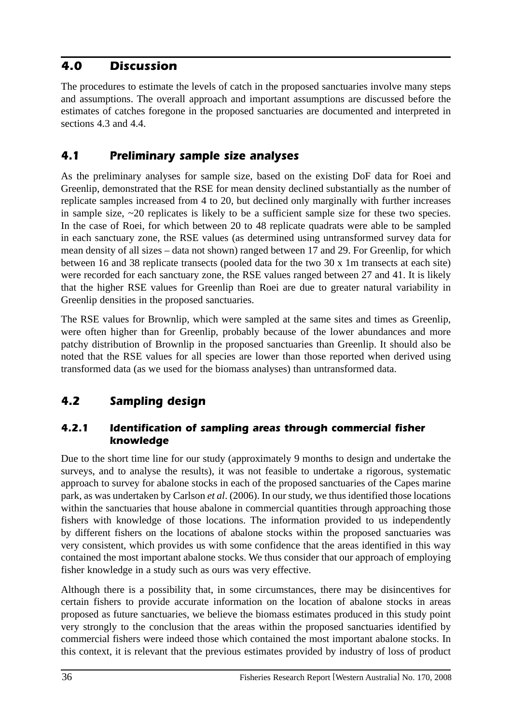# *4.0 Discussion*

The procedures to estimate the levels of catch in the proposed sanctuaries involve many steps and assumptions. The overall approach and important assumptions are discussed before the estimates of catches foregone in the proposed sanctuaries are documented and interpreted in sections 4.3 and 4.4.

# *4.1 Preliminary sample size analyses*

As the preliminary analyses for sample size, based on the existing DoF data for Roei and Greenlip, demonstrated that the RSE for mean density declined substantially as the number of replicate samples increased from 4 to 20, but declined only marginally with further increases in sample size, ~20 replicates is likely to be a sufficient sample size for these two species. In the case of Roei, for which between 20 to 48 replicate quadrats were able to be sampled in each sanctuary zone, the RSE values (as determined using untransformed survey data for mean density of all sizes – data not shown) ranged between 17 and 29. For Greenlip, for which between 16 and 38 replicate transects (pooled data for the two 30 x 1m transects at each site) were recorded for each sanctuary zone, the RSE values ranged between 27 and 41. It is likely that the higher RSE values for Greenlip than Roei are due to greater natural variability in Greenlip densities in the proposed sanctuaries.

The RSE values for Brownlip, which were sampled at the same sites and times as Greenlip, were often higher than for Greenlip, probably because of the lower abundances and more patchy distribution of Brownlip in the proposed sanctuaries than Greenlip. It should also be noted that the RSE values for all species are lower than those reported when derived using transformed data (as we used for the biomass analyses) than untransformed data.

# *4.2 Sampling design*

#### *4.2.1 Identification of sampling areas through commercial fisher knowledge*

Due to the short time line for our study (approximately 9 months to design and undertake the surveys, and to analyse the results), it was not feasible to undertake a rigorous, systematic approach to survey for abalone stocks in each of the proposed sanctuaries of the Capes marine park, as was undertaken by Carlson *et al*. (2006). In our study, we thus identified those locations within the sanctuaries that house abalone in commercial quantities through approaching those fishers with knowledge of those locations. The information provided to us independently by different fishers on the locations of abalone stocks within the proposed sanctuaries was very consistent, which provides us with some confidence that the areas identified in this way contained the most important abalone stocks. We thus consider that our approach of employing fisher knowledge in a study such as ours was very effective.

Although there is a possibility that, in some circumstances, there may be disincentives for certain fishers to provide accurate information on the location of abalone stocks in areas proposed as future sanctuaries, we believe the biomass estimates produced in this study point very strongly to the conclusion that the areas within the proposed sanctuaries identified by commercial fishers were indeed those which contained the most important abalone stocks. In this context, it is relevant that the previous estimates provided by industry of loss of product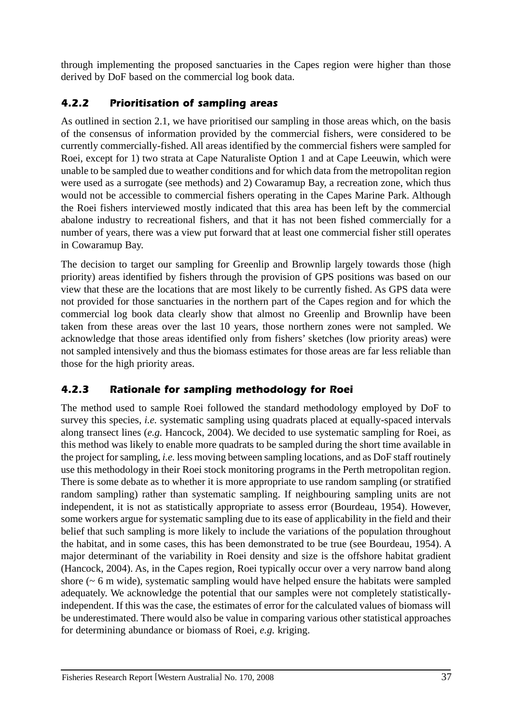through implementing the proposed sanctuaries in the Capes region were higher than those derived by DoF based on the commercial log book data.

# *4.2.2 Prioritisation of sampling areas*

As outlined in section 2.1, we have prioritised our sampling in those areas which, on the basis of the consensus of information provided by the commercial fishers, were considered to be currently commercially-fished. All areas identified by the commercial fishers were sampled for Roei, except for 1) two strata at Cape Naturaliste Option 1 and at Cape Leeuwin, which were unable to be sampled due to weather conditions and for which data from the metropolitan region were used as a surrogate (see methods) and 2) Cowaramup Bay, a recreation zone, which thus would not be accessible to commercial fishers operating in the Capes Marine Park. Although the Roei fishers interviewed mostly indicated that this area has been left by the commercial abalone industry to recreational fishers, and that it has not been fished commercially for a number of years, there was a view put forward that at least one commercial fisher still operates in Cowaramup Bay.

The decision to target our sampling for Greenlip and Brownlip largely towards those (high priority) areas identified by fishers through the provision of GPS positions was based on our view that these are the locations that are most likely to be currently fished. As GPS data were not provided for those sanctuaries in the northern part of the Capes region and for which the commercial log book data clearly show that almost no Greenlip and Brownlip have been taken from these areas over the last 10 years, those northern zones were not sampled. We acknowledge that those areas identified only from fishers' sketches (low priority areas) were not sampled intensively and thus the biomass estimates for those areas are far less reliable than those for the high priority areas.

# *4.2.3 Rationale for sampling methodology for Roei*

The method used to sample Roei followed the standard methodology employed by DoF to survey this species, *i.e.* systematic sampling using quadrats placed at equally-spaced intervals along transect lines (*e.g.* Hancock, 2004). We decided to use systematic sampling for Roei, as this method was likely to enable more quadrats to be sampled during the short time available in the project for sampling, *i.e.* less moving between sampling locations, and as DoF staff routinely use this methodology in their Roei stock monitoring programs in the Perth metropolitan region. There is some debate as to whether it is more appropriate to use random sampling (or stratified random sampling) rather than systematic sampling. If neighbouring sampling units are not independent, it is not as statistically appropriate to assess error (Bourdeau, 1954). However, some workers argue for systematic sampling due to its ease of applicability in the field and their belief that such sampling is more likely to include the variations of the population throughout the habitat, and in some cases, this has been demonstrated to be true (see Bourdeau, 1954). A major determinant of the variability in Roei density and size is the offshore habitat gradient (Hancock, 2004). As, in the Capes region, Roei typically occur over a very narrow band along shore (~ 6 m wide), systematic sampling would have helped ensure the habitats were sampled adequately. We acknowledge the potential that our samples were not completely statisticallyindependent. If this was the case, the estimates of error for the calculated values of biomass will be underestimated. There would also be value in comparing various other statistical approaches for determining abundance or biomass of Roei, *e.g.* kriging.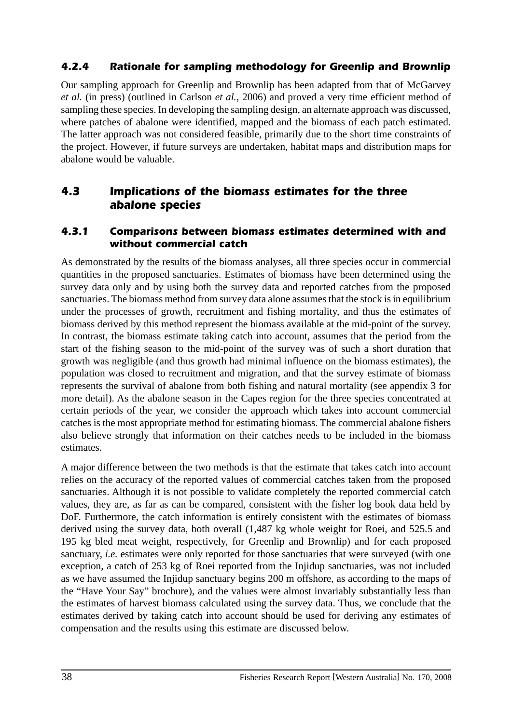#### *4.2.4 Rationale for sampling methodology for Greenlip and Brownlip*

Our sampling approach for Greenlip and Brownlip has been adapted from that of McGarvey *et al.* (in press) (outlined in Carlson *et al.*, 2006) and proved a very time efficient method of sampling these species. In developing the sampling design, an alternate approach was discussed, where patches of abalone were identified, mapped and the biomass of each patch estimated. The latter approach was not considered feasible, primarily due to the short time constraints of the project. However, if future surveys are undertaken, habitat maps and distribution maps for abalone would be valuable.

### *4.3 Implications of the biomass estimates for the three abalone species*

#### *4.3.1 Comparisons between biomass estimates determined with and without commercial catch*

As demonstrated by the results of the biomass analyses, all three species occur in commercial quantities in the proposed sanctuaries. Estimates of biomass have been determined using the survey data only and by using both the survey data and reported catches from the proposed sanctuaries. The biomass method from survey data alone assumes that the stock is in equilibrium under the processes of growth, recruitment and fishing mortality, and thus the estimates of biomass derived by this method represent the biomass available at the mid-point of the survey. In contrast, the biomass estimate taking catch into account, assumes that the period from the start of the fishing season to the mid-point of the survey was of such a short duration that growth was negligible (and thus growth had minimal influence on the biomass estimates), the population was closed to recruitment and migration, and that the survey estimate of biomass represents the survival of abalone from both fishing and natural mortality (see appendix 3 for more detail). As the abalone season in the Capes region for the three species concentrated at certain periods of the year, we consider the approach which takes into account commercial catches is the most appropriate method for estimating biomass. The commercial abalone fishers also believe strongly that information on their catches needs to be included in the biomass estimates.

A major difference between the two methods is that the estimate that takes catch into account relies on the accuracy of the reported values of commercial catches taken from the proposed sanctuaries. Although it is not possible to validate completely the reported commercial catch values, they are, as far as can be compared, consistent with the fisher log book data held by DoF. Furthermore, the catch information is entirely consistent with the estimates of biomass derived using the survey data, both overall (1,487 kg whole weight for Roei, and 525.5 and 195 kg bled meat weight, respectively, for Greenlip and Brownlip) and for each proposed sanctuary, *i.e.* estimates were only reported for those sanctuaries that were surveyed (with one exception, a catch of 253 kg of Roei reported from the Injidup sanctuaries, was not included as we have assumed the Injidup sanctuary begins 200 m offshore, as according to the maps of the "Have Your Say" brochure), and the values were almost invariably substantially less than the estimates of harvest biomass calculated using the survey data. Thus, we conclude that the estimates derived by taking catch into account should be used for deriving any estimates of compensation and the results using this estimate are discussed below.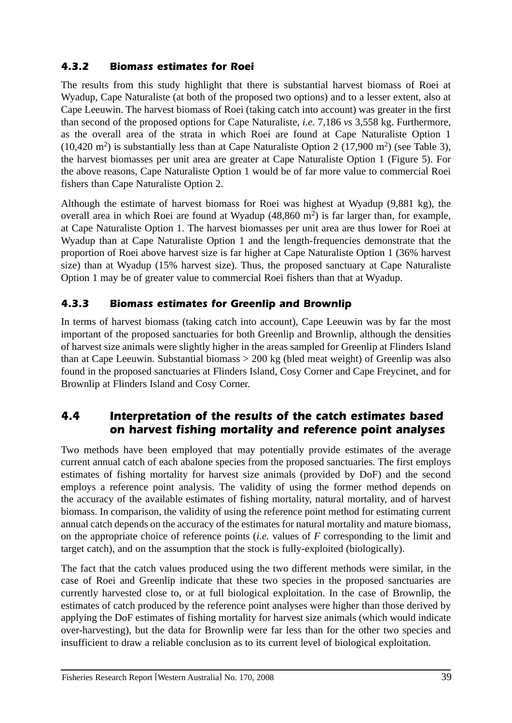#### *4.3.2 Biomass estimates for Roei*

The results from this study highlight that there is substantial harvest biomass of Roei at Wyadup, Cape Naturaliste (at both of the proposed two options) and to a lesser extent, also at Cape Leeuwin. The harvest biomass of Roei (taking catch into account) was greater in the first than second of the proposed options for Cape Naturaliste, *i.e.* 7,186 *vs* 3,558 kg. Furthermore, as the overall area of the strata in which Roei are found at Cape Naturaliste Option 1  $(10,420 \text{ m}^2)$  is substantially less than at Cape Naturaliste Option 2 (17,900 m<sup>2</sup>) (see Table 3), the harvest biomasses per unit area are greater at Cape Naturaliste Option 1 (Figure 5). For the above reasons, Cape Naturaliste Option 1 would be of far more value to commercial Roei fishers than Cape Naturaliste Option 2.

Although the estimate of harvest biomass for Roei was highest at Wyadup (9,881 kg), the overall area in which Roei are found at Wyadup  $(48,860 \text{ m}^2)$  is far larger than, for example, at Cape Naturaliste Option 1. The harvest biomasses per unit area are thus lower for Roei at Wyadup than at Cape Naturaliste Option 1 and the length-frequencies demonstrate that the proportion of Roei above harvest size is far higher at Cape Naturaliste Option 1 (36% harvest size) than at Wyadup (15% harvest size). Thus, the proposed sanctuary at Cape Naturaliste Option 1 may be of greater value to commercial Roei fishers than that at Wyadup.

#### *4.3.3 Biomass estimates for Greenlip and Brownlip*

In terms of harvest biomass (taking catch into account), Cape Leeuwin was by far the most important of the proposed sanctuaries for both Greenlip and Brownlip, although the densities of harvest size animals were slightly higher in the areas sampled for Greenlip at Flinders Island than at Cape Leeuwin. Substantial biomass > 200 kg (bled meat weight) of Greenlip was also found in the proposed sanctuaries at Flinders Island, Cosy Corner and Cape Freycinet, and for Brownlip at Flinders Island and Cosy Corner.

## *4.4 Interpretation of the results of the catch estimates based on harvest fishing mortality and reference point analyses*

Two methods have been employed that may potentially provide estimates of the average current annual catch of each abalone species from the proposed sanctuaries. The first employs estimates of fishing mortality for harvest size animals (provided by DoF) and the second employs a reference point analysis. The validity of using the former method depends on the accuracy of the available estimates of fishing mortality, natural mortality, and of harvest biomass. In comparison, the validity of using the reference point method for estimating current annual catch depends on the accuracy of the estimates for natural mortality and mature biomass, on the appropriate choice of reference points (*i.e.* values of *F* corresponding to the limit and target catch), and on the assumption that the stock is fully-exploited (biologically).

The fact that the catch values produced using the two different methods were similar, in the case of Roei and Greenlip indicate that these two species in the proposed sanctuaries are currently harvested close to, or at full biological exploitation. In the case of Brownlip, the estimates of catch produced by the reference point analyses were higher than those derived by applying the DoF estimates of fishing mortality for harvest size animals (which would indicate over-harvesting), but the data for Brownlip were far less than for the other two species and insufficient to draw a reliable conclusion as to its current level of biological exploitation.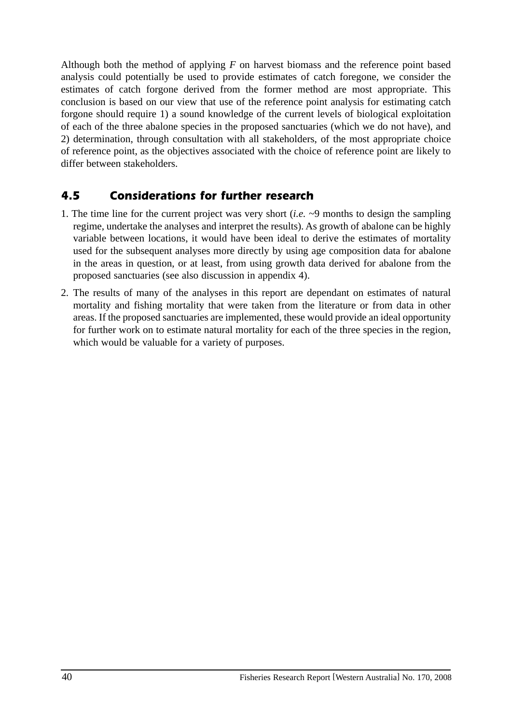Although both the method of applying *F* on harvest biomass and the reference point based analysis could potentially be used to provide estimates of catch foregone, we consider the estimates of catch forgone derived from the former method are most appropriate. This conclusion is based on our view that use of the reference point analysis for estimating catch forgone should require 1) a sound knowledge of the current levels of biological exploitation of each of the three abalone species in the proposed sanctuaries (which we do not have), and 2) determination, through consultation with all stakeholders, of the most appropriate choice of reference point, as the objectives associated with the choice of reference point are likely to differ between stakeholders.

# *4.5 Considerations for further research*

- 1. The time line for the current project was very short (*i.e.* ~9 months to design the sampling regime, undertake the analyses and interpret the results). As growth of abalone can be highly variable between locations, it would have been ideal to derive the estimates of mortality used for the subsequent analyses more directly by using age composition data for abalone in the areas in question, or at least, from using growth data derived for abalone from the proposed sanctuaries (see also discussion in appendix 4).
- 2. The results of many of the analyses in this report are dependant on estimates of natural mortality and fishing mortality that were taken from the literature or from data in other areas. If the proposed sanctuaries are implemented, these would provide an ideal opportunity for further work on to estimate natural mortality for each of the three species in the region, which would be valuable for a variety of purposes.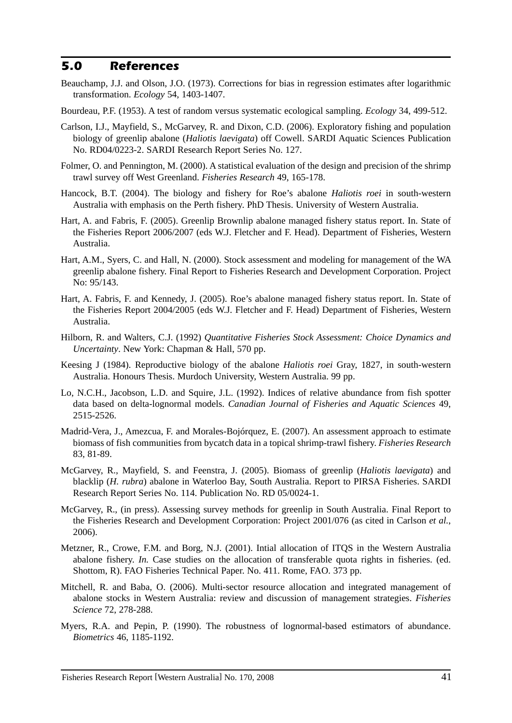#### *5.0 References*

- Beauchamp, J.J. and Olson, J.O. (1973). Corrections for bias in regression estimates after logarithmic transformation. *Ecology* 54, 1403-1407.
- Bourdeau, P.F. (1953). A test of random versus systematic ecological sampling. *Ecology* 34, 499-512.
- Carlson, I.J., Mayfield, S., McGarvey, R. and Dixon, C.D. (2006). Exploratory fishing and population biology of greenlip abalone (*Haliotis laevigata*) off Cowell. SARDI Aquatic Sciences Publication No. RD04/0223-2. SARDI Research Report Series No. 127.
- Folmer, O. and Pennington, M. (2000). A statistical evaluation of the design and precision of the shrimp trawl survey off West Greenland. *Fisheries Research* 49, 165-178.
- Hancock, B.T. (2004). The biology and fishery for Roe's abalone *Haliotis roei* in south-western Australia with emphasis on the Perth fishery. PhD Thesis. University of Western Australia.
- Hart, A. and Fabris, F. (2005). Greenlip Brownlip abalone managed fishery status report. In. State of the Fisheries Report 2006/2007 (eds W.J. Fletcher and F. Head). Department of Fisheries, Western Australia.
- Hart, A.M., Syers, C. and Hall, N. (2000). Stock assessment and modeling for management of the WA greenlip abalone fishery. Final Report to Fisheries Research and Development Corporation. Project No: 95/143.
- Hart, A. Fabris, F. and Kennedy, J. (2005). Roe's abalone managed fishery status report. In. State of the Fisheries Report 2004/2005 (eds W.J. Fletcher and F. Head) Department of Fisheries, Western Australia.
- Hilborn, R. and Walters, C.J. (1992) *Quantitative Fisheries Stock Assessment: Choice Dynamics and Uncertainty*. New York: Chapman & Hall, 570 pp.
- Keesing J (1984). Reproductive biology of the abalone *Haliotis roei* Gray, 1827, in south-western Australia. Honours Thesis. Murdoch University, Western Australia. 99 pp.
- Lo, N.C.H., Jacobson, L.D. and Squire, J.L. (1992). Indices of relative abundance from fish spotter data based on delta-lognormal models. *Canadian Journal of Fisheries and Aquatic Sciences* 49, 2515-2526.
- Madrid-Vera, J., Amezcua, F. and Morales-Bojórquez, E. (2007). An assessment approach to estimate biomass of fish communities from bycatch data in a topical shrimp-trawl fishery. *Fisheries Research* 83, 81-89.
- McGarvey, R., Mayfield, S. and Feenstra, J. (2005). Biomass of greenlip (*Haliotis laevigata*) and blacklip (*H. rubra*) abalone in Waterloo Bay, South Australia. Report to PIRSA Fisheries. SARDI Research Report Series No. 114. Publication No. RD 05/0024-1.
- McGarvey, R., (in press). Assessing survey methods for greenlip in South Australia. Final Report to the Fisheries Research and Development Corporation: Project 2001/076 (as cited in Carlson *et al.*, 2006).
- Metzner, R., Crowe, F.M. and Borg, N.J. (2001). Intial allocation of ITQS in the Western Australia abalone fishery. *In.* Case studies on the allocation of transferable quota rights in fisheries. (ed. Shottom, R). FAO Fisheries Technical Paper. No. 411. Rome, FAO. 373 pp.
- Mitchell, R. and Baba, O. (2006). Multi-sector resource allocation and integrated management of abalone stocks in Western Australia: review and discussion of management strategies. *Fisheries Science* 72, 278-288.
- Myers, R.A. and Pepin, P. (1990). The robustness of lognormal-based estimators of abundance. *Biometrics* 46, 1185-1192.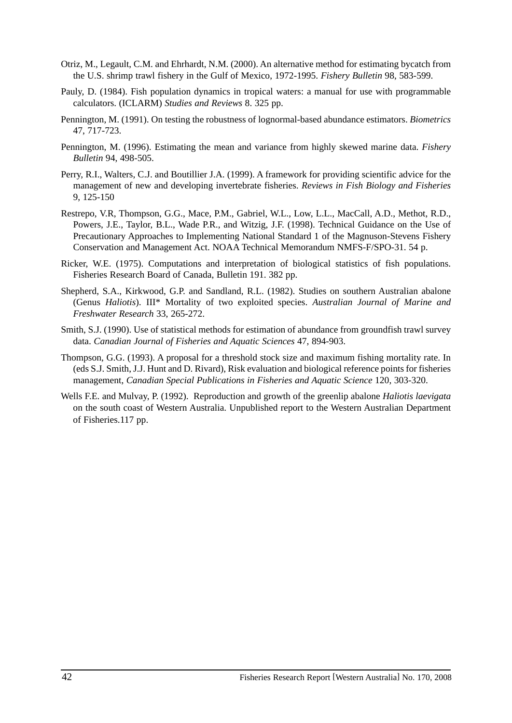- Otriz, M., Legault, C.M. and Ehrhardt, N.M. (2000). An alternative method for estimating bycatch from the U.S. shrimp trawl fishery in the Gulf of Mexico, 1972-1995. *Fishery Bulletin* 98, 583-599.
- Pauly, D. (1984). Fish population dynamics in tropical waters: a manual for use with programmable calculators. (ICLARM) *Studies and Reviews* 8. 325 pp.
- Pennington, M. (1991). On testing the robustness of lognormal-based abundance estimators. *Biometrics* 47, 717-723.
- Pennington, M. (1996). Estimating the mean and variance from highly skewed marine data. *Fishery Bulletin* 94, 498-505.
- Perry, R.I., Walters, C.J. and Boutillier J.A. (1999). A framework for providing scientific advice for the management of new and developing invertebrate fisheries. *Reviews in Fish Biology and Fisheries* 9, 125-150
- Restrepo, V.R, Thompson, G.G., Mace, P.M., Gabriel, W.L., Low, L.L., MacCall, A.D., Methot, R.D., Powers, J.E., Taylor, B.L., Wade P.R., and Witzig, J.F. (1998). Technical Guidance on the Use of Precautionary Approaches to Implementing National Standard 1 of the Magnuson-Stevens Fishery Conservation and Management Act. NOAA Technical Memorandum NMFS-F/SPO-31. 54 p.
- Ricker, W.E. (1975). Computations and interpretation of biological statistics of fish populations. Fisheries Research Board of Canada, Bulletin 191. 382 pp.
- Shepherd, S.A., Kirkwood, G.P. and Sandland, R.L. (1982). Studies on southern Australian abalone (Genus *Haliotis*). III\* Mortality of two exploited species. *Australian Journal of Marine and Freshwater Research* 33, 265-272.
- Smith, S.J. (1990). Use of statistical methods for estimation of abundance from groundfish trawl survey data. *Canadian Journal of Fisheries and Aquatic Sciences* 47, 894-903.
- Thompson, G.G. (1993). A proposal for a threshold stock size and maximum fishing mortality rate. In (eds S.J. Smith, J.J. Hunt and D. Rivard), Risk evaluation and biological reference points for fisheries management, *Canadian Special Publications in Fisheries and Aquatic Science* 120, 303-320.
- Wells F.E. and Mulvay, P. (1992). Reproduction and growth of the greenlip abalone *Haliotis laevigata* on the south coast of Western Australia. Unpublished report to the Western Australian Department of Fisheries.117 pp.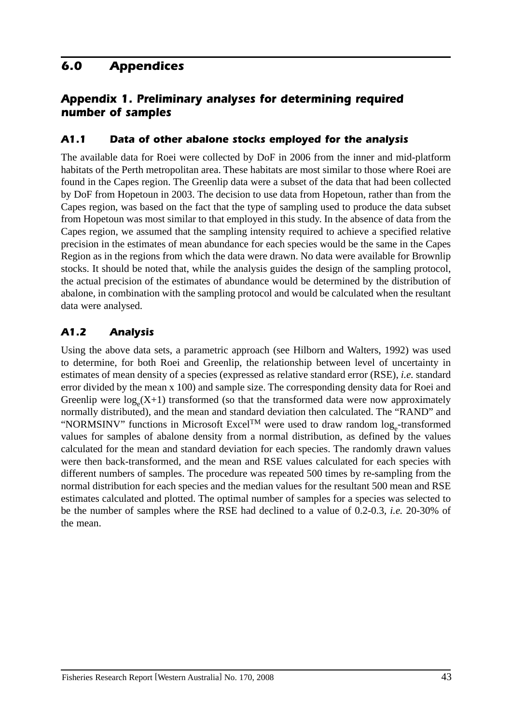# *6.0 Appendices*

# *Appendix 1. Preliminary analyses for determining required number of samples*

#### *A1.1 Data of other abalone stocks employed for the analysis*

The available data for Roei were collected by DoF in 2006 from the inner and mid-platform habitats of the Perth metropolitan area. These habitats are most similar to those where Roei are found in the Capes region. The Greenlip data were a subset of the data that had been collected by DoF from Hopetoun in 2003. The decision to use data from Hopetoun, rather than from the Capes region, was based on the fact that the type of sampling used to produce the data subset from Hopetoun was most similar to that employed in this study. In the absence of data from the Capes region, we assumed that the sampling intensity required to achieve a specified relative precision in the estimates of mean abundance for each species would be the same in the Capes Region as in the regions from which the data were drawn. No data were available for Brownlip stocks. It should be noted that, while the analysis guides the design of the sampling protocol, the actual precision of the estimates of abundance would be determined by the distribution of abalone, in combination with the sampling protocol and would be calculated when the resultant data were analysed.

## *A1.2 Analysis*

Using the above data sets, a parametric approach (see Hilborn and Walters, 1992) was used to determine, for both Roei and Greenlip, the relationship between level of uncertainty in estimates of mean density of a species (expressed as relative standard error (RSE), *i.e.* standard error divided by the mean x 100) and sample size. The corresponding density data for Roei and Greenlip were  $log_e(X+1)$  transformed (so that the transformed data were now approximately normally distributed), and the mean and standard deviation then calculated. The "RAND" and "NORMSINV" functions in Microsoft Excel<sup>TM</sup> were used to draw random  $log_e$ -transformed values for samples of abalone density from a normal distribution, as defined by the values calculated for the mean and standard deviation for each species. The randomly drawn values were then back-transformed, and the mean and RSE values calculated for each species with different numbers of samples. The procedure was repeated 500 times by re-sampling from the normal distribution for each species and the median values for the resultant 500 mean and RSE estimates calculated and plotted. The optimal number of samples for a species was selected to be the number of samples where the RSE had declined to a value of 0.2-0.3, *i.e.* 20-30% of the mean.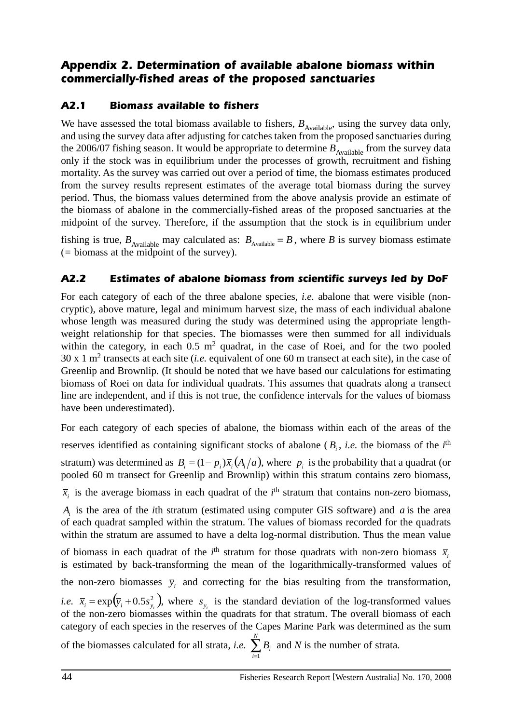## *Appendix 2. Determination of available abalone biomass within commercially-fished areas of the proposed sanctuaries*

### *A2.1 Biomass available to fishers*

We have assessed the total biomass available to fishers,  $B_{\text{Available}}$ , using the survey data only, and using the survey data after adjusting for catches taken from the proposed sanctuaries during the 2006/07 fishing season. It would be appropriate to determine  $B_{\text{Available}}$  from the survey data only if the stock was in equilibrium under the processes of growth, recruitment and fishing mortality. As the survey was carried out over a period of time, the biomass estimates produced from the survey results represent estimates of the average total biomass during the survey period. Thus, the biomass values determined from the above analysis provide an estimate of the biomass of abalone in the commercially-fished areas of the proposed sanctuaries at the midpoint of the survey. Therefore, if the assumption that the stock is in equilibrium under

fishing is true,  $B_{\text{Available}}$  may calculated as:  $B_{\text{Available}} = B$ , where *B* is survey biomass estimate (*=* biomass at the midpoint of the survey).

## *A2.2 Estimates of abalone biomass from scientific surveys led by DoF*

For each category of each of the three abalone species, *i.e.* abalone that were visible (noncryptic), above mature, legal and minimum harvest size, the mass of each individual abalone whose length was measured during the study was determined using the appropriate lengthweight relationship for that species. The biomasses were then summed for all individuals within the category, in each  $0.5 \text{ m}^2$  quadrat, in the case of Roei, and for the two pooled 30 x 1 m2 transects at each site (*i.e.* equivalent of one 60 m transect at each site), in the case of Greenlip and Brownlip. (It should be noted that we have based our calculations for estimating biomass of Roei on data for individual quadrats. This assumes that quadrats along a transect line are independent, and if this is not true, the confidence intervals for the values of biomass have been underestimated).

For each category of each species of abalone, the biomass within each of the areas of the reserves identified as containing significant stocks of abalone  $(B_i, i.e.$  the biomass of the  $i<sup>th</sup>$ stratum) was determined as  $B_i = (1 - p_i)\overline{x}_i(A_i/a)$ , where  $p_i$  is the probability that a quadrat (or pooled 60 m transect for Greenlip and Brownlip) within this stratum contains zero biomass,  $\bar{x}_i$  is the average biomass in each quadrat of the  $i^{\text{th}}$  stratum that contains non-zero biomass, *Ai* is the area of the *i*th stratum (estimated using computer GIS software) and *a* is the area of each quadrat sampled within the stratum. The values of biomass recorded for the quadrats within the stratum are assumed to have a delta log-normal distribution. Thus the mean value of biomass in each quadrat of the *i*<sup>th</sup> stratum for those quadrats with non-zero biomass  $\bar{x}_i$ is estimated by back-transforming the mean of the logarithmically-transformed values of the non-zero biomasses  $\bar{y}_i$  and correcting for the bias resulting from the transformation, *i.e.*  $\bar{x}_i = \exp(\bar{y}_i + 0.5s_{y_i}^2)$ , where  $s_{y_i}$  is the standard deviation of the log-transformed values of the non-zero biomasses within the quadrats for that stratum. The overall biomass of each category of each species in the reserves of the Capes Marine Park was determined as the sum of the biomasses calculated for all strata, *i.e.*  $\sum_{i=1}^{N}$ *i Bi* 1 and *N* is the number of strata*.*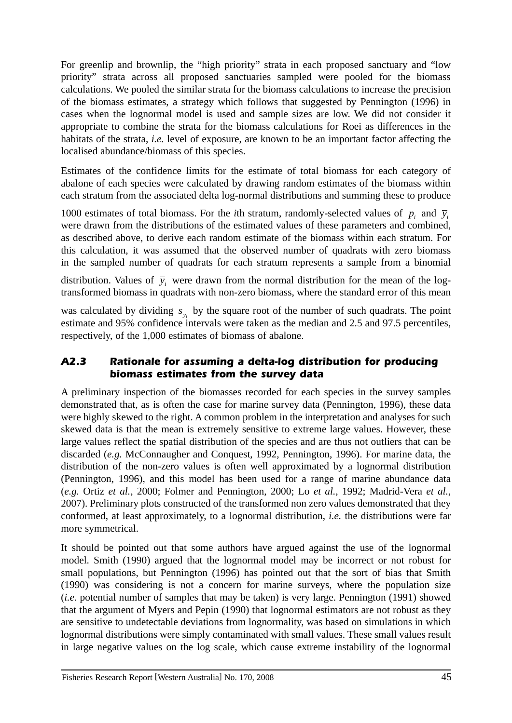For greenlip and brownlip, the "high priority" strata in each proposed sanctuary and "low priority" strata across all proposed sanctuaries sampled were pooled for the biomass calculations. We pooled the similar strata for the biomass calculations to increase the precision of the biomass estimates, a strategy which follows that suggested by Pennington (1996) in cases when the lognormal model is used and sample sizes are low. We did not consider it appropriate to combine the strata for the biomass calculations for Roei as differences in the habitats of the strata, *i.e.* level of exposure, are known to be an important factor affecting the localised abundance/biomass of this species.

Estimates of the confidence limits for the estimate of total biomass for each category of abalone of each species were calculated by drawing random estimates of the biomass within each stratum from the associated delta log-normal distributions and summing these to produce

1000 estimates of total biomass. For the *i*th stratum, randomly-selected values of  $p_i$  and  $\bar{y}_i$ were drawn from the distributions of the estimated values of these parameters and combined, as described above, to derive each random estimate of the biomass within each stratum. For this calculation, it was assumed that the observed number of quadrats with zero biomass in the sampled number of quadrats for each stratum represents a sample from a binomial

distribution. Values of  $\bar{y}_i$  were drawn from the normal distribution for the mean of the logtransformed biomass in quadrats with non-zero biomass, where the standard error of this mean

was calculated by dividing  $s_{y_i}$  by the square root of the number of such quadrats. The point estimate and 95% confidence intervals were taken as the median and 2.5 and 97.5 percentiles, respectively, of the 1,000 estimates of biomass of abalone.

#### *A2.3 Rationale for assuming a delta-log distribution for producing biomass estimates from the survey data*

A preliminary inspection of the biomasses recorded for each species in the survey samples demonstrated that, as is often the case for marine survey data (Pennington, 1996), these data were highly skewed to the right. A common problem in the interpretation and analyses for such skewed data is that the mean is extremely sensitive to extreme large values. However, these large values reflect the spatial distribution of the species and are thus not outliers that can be discarded (*e.g.* McConnaugher and Conquest, 1992, Pennington, 1996). For marine data, the distribution of the non-zero values is often well approximated by a lognormal distribution (Pennington, 1996), and this model has been used for a range of marine abundance data (*e.g.* Ortiz *et al.*, 2000; Folmer and Pennington, 2000; Lo *et al.*, 1992; Madrid-Vera *et al.*, 2007). Preliminary plots constructed of the transformed non zero values demonstrated that they conformed, at least approximately, to a lognormal distribution, *i.e.* the distributions were far more symmetrical.

It should be pointed out that some authors have argued against the use of the lognormal model. Smith (1990) argued that the lognormal model may be incorrect or not robust for small populations, but Pennington (1996) has pointed out that the sort of bias that Smith (1990) was considering is not a concern for marine surveys, where the population size (*i.e.* potential number of samples that may be taken) is very large. Pennington (1991) showed that the argument of Myers and Pepin (1990) that lognormal estimators are not robust as they are sensitive to undetectable deviations from lognormality, was based on simulations in which lognormal distributions were simply contaminated with small values. These small values result in large negative values on the log scale, which cause extreme instability of the lognormal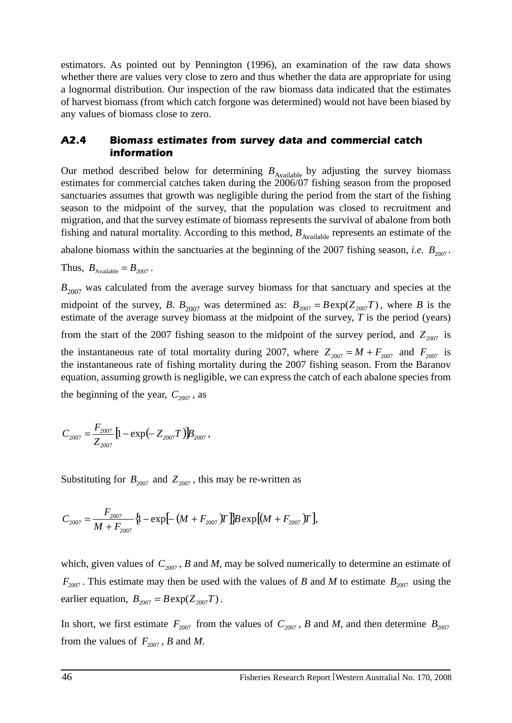estimators. As pointed out by Pennington (1996), an examination of the raw data shows whether there are values very close to zero and thus whether the data are appropriate for using a lognormal distribution. Our inspection of the raw biomass data indicated that the estimates of harvest biomass (from which catch forgone was determined) would not have been biased by any values of biomass close to zero.

#### *A2.4 Biomass estimates from survey data and commercial catch information*

Our method described below for determining  $B_{\text{Available}}$  by adjusting the survey biomass estimates for commercial catches taken during the 2006/07 fishing season from the proposed sanctuaries assumes that growth was negligible during the period from the start of the fishing season to the midpoint of the survey, that the population was closed to recruitment and migration, and that the survey estimate of biomass represents the survival of abalone from both fishing and natural mortality. According to this method,  $B_{\text{Available}}$  represents an estimate of the

abalone biomass within the sanctuaries at the beginning of the 2007 fishing season, *i.e.*  $B_{2007}$ .

Thus,  $B_{\text{available}} = B_{2007}$ .

 $B_{2007}$  was calculated from the average survey biomass for that sanctuary and species at the midpoint of the survey, *B*.  $B_{2007}$  was determined as:  $B_{2007} = B \exp(Z_{2007}T)$ , where *B* is the estimate of the average survey biomass at the midpoint of the survey, *T* is the period (years) from the start of the 2007 fishing season to the midpoint of the survey period, and  $Z_{2007}$  is the instantaneous rate of total mortality during 2007, where  $Z_{2007} = M + F_{2007}$  and  $F_{2007}$  is the instantaneous rate of fishing mortality during the 2007 fishing season. From the Baranov equation, assuming growth is negligible, we can express the catch of each abalone species from

the beginning of the year,  $C_{2007}$ , as

$$
C_{2007} = \frac{F_{2007}}{Z_{2007}} \left[ 1 - \exp\left(-Z_{2007}T\right) \right] B_{2007},
$$

Substituting for  $B_{2007}$  and  $Z_{2007}$ , this may be re-written as

$$
C_{2007} = \frac{F_{2007}}{M + F_{2007}} \{1 - \exp[-\left(M + F_{2007}\right)T\right]B \exp[(M + F_{2007})T],
$$

which, given values of  $C_{2007}$ , *B* and *M*, may be solved numerically to determine an estimate of  $F_{2007}$ . This estimate may then be used with the values of *B* and *M* to estimate  $B_{2007}$  using the earlier equation,  $B_{2007} = B \exp(Z_{2007}T)$ .

In short, we first estimate  $F_{2007}$  from the values of  $C_{2007}$ , *B* and *M*, and then determine  $B_{2007}$ from the values of  $F_{2007}$ , *B* and *M*.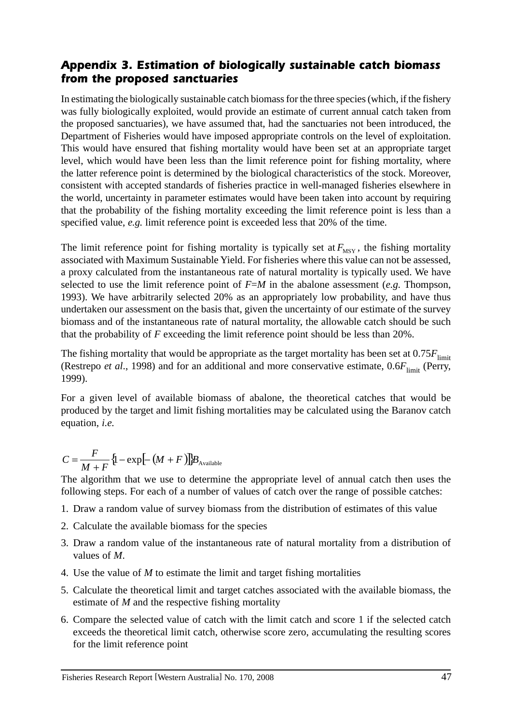### *Appendix 3. Estimation of biologically sustainable catch biomass from the proposed sanctuaries*

In estimating the biologically sustainable catch biomass for the three species (which, if the fishery was fully biologically exploited, would provide an estimate of current annual catch taken from the proposed sanctuaries), we have assumed that, had the sanctuaries not been introduced, the Department of Fisheries would have imposed appropriate controls on the level of exploitation. This would have ensured that fishing mortality would have been set at an appropriate target level, which would have been less than the limit reference point for fishing mortality, where the latter reference point is determined by the biological characteristics of the stock. Moreover, consistent with accepted standards of fisheries practice in well-managed fisheries elsewhere in the world, uncertainty in parameter estimates would have been taken into account by requiring that the probability of the fishing mortality exceeding the limit reference point is less than a specified value, *e.g.* limit reference point is exceeded less that 20% of the time.

The limit reference point for fishing mortality is typically set at  $F_{MSY}$ , the fishing mortality associated with Maximum Sustainable Yield. For fisheries where this value can not be assessed, a proxy calculated from the instantaneous rate of natural mortality is typically used. We have selected to use the limit reference point of  $F=M$  in the abalone assessment (*e.g.* Thompson, 1993). We have arbitrarily selected 20% as an appropriately low probability, and have thus undertaken our assessment on the basis that, given the uncertainty of our estimate of the survey biomass and of the instantaneous rate of natural mortality, the allowable catch should be such that the probability of *F* exceeding the limit reference point should be less than 20%.

The fishing mortality that would be appropriate as the target mortality has been set at  $0.75F_{\text{limit}}$ (Restrepo *et al.*, 1998) and for an additional and more conservative estimate,  $0.6F_{\text{limit}}$  (Perry, 1999).

For a given level of available biomass of abalone, the theoretical catches that would be produced by the target and limit fishing mortalities may be calculated using the Baranov catch equation, *i.e.*

$$
C = \frac{F}{M+F} \{1 - \exp[-(M+F)]\}B_{\text{Available}}
$$

The algorithm that we use to determine the appropriate level of annual catch then uses the following steps. For each of a number of values of catch over the range of possible catches:

- 1. Draw a random value of survey biomass from the distribution of estimates of this value
- 2. Calculate the available biomass for the species
- 3. Draw a random value of the instantaneous rate of natural mortality from a distribution of values of *M*.
- 4. Use the value of *M* to estimate the limit and target fishing mortalities
- 5. Calculate the theoretical limit and target catches associated with the available biomass, the estimate of *M* and the respective fishing mortality
- 6. Compare the selected value of catch with the limit catch and score 1 if the selected catch exceeds the theoretical limit catch, otherwise score zero, accumulating the resulting scores for the limit reference point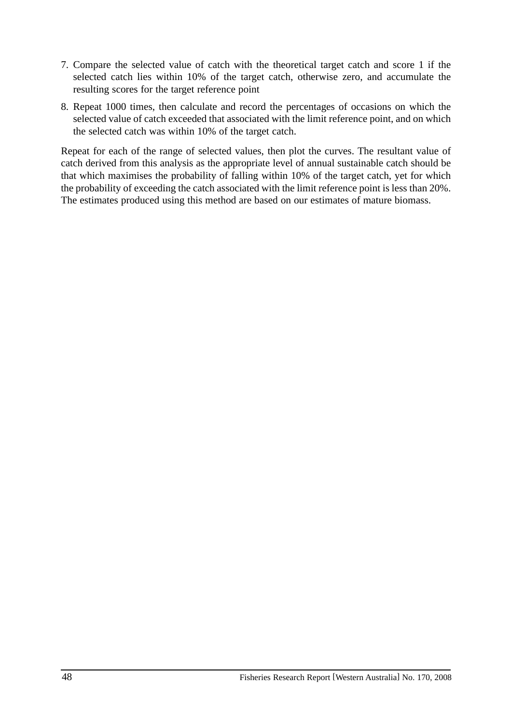- 7. Compare the selected value of catch with the theoretical target catch and score 1 if the selected catch lies within 10% of the target catch, otherwise zero, and accumulate the resulting scores for the target reference point
- 8. Repeat 1000 times, then calculate and record the percentages of occasions on which the selected value of catch exceeded that associated with the limit reference point, and on which the selected catch was within 10% of the target catch.

Repeat for each of the range of selected values, then plot the curves. The resultant value of catch derived from this analysis as the appropriate level of annual sustainable catch should be that which maximises the probability of falling within 10% of the target catch, yet for which the probability of exceeding the catch associated with the limit reference point is less than 20%. The estimates produced using this method are based on our estimates of mature biomass.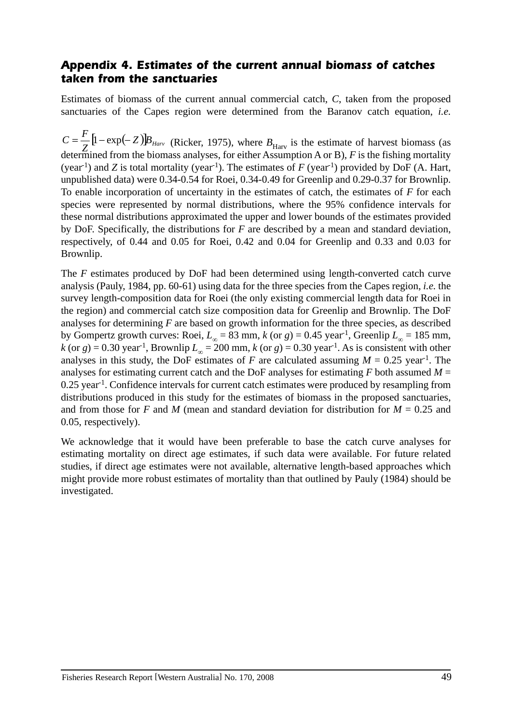#### *Appendix 4. Estimates of the current annual biomass of catches taken from the sanctuaries*

Estimates of biomass of the current annual commercial catch, *C*, taken from the proposed sanctuaries of the Capes region were determined from the Baranov catch equation, *i.e.* 

 $C = \frac{F}{Z} \left[ 1 - \exp(-Z) \right] B_{Harv}$  (Ricker, 1975), where  $B_{Harv}$  is the estimate of harvest biomass (as determined from the biomass analyses, for either Assumption A or B), *F* is the fishing mortality (year<sup>-1</sup>) and *Z* is total mortality (year<sup>-1</sup>). The estimates of *F* (year<sup>-1</sup>) provided by DoF (A. Hart, unpublished data) were 0.34-0.54 for Roei, 0.34-0.49 for Greenlip and 0.29-0.37 for Brownlip. To enable incorporation of uncertainty in the estimates of catch, the estimates of *F* for each species were represented by normal distributions, where the 95% confidence intervals for these normal distributions approximated the upper and lower bounds of the estimates provided by DoF. Specifically, the distributions for *F* are described by a mean and standard deviation, respectively, of 0.44 and 0.05 for Roei, 0.42 and 0.04 for Greenlip and 0.33 and 0.03 for Brownlip.

The *F* estimates produced by DoF had been determined using length-converted catch curve analysis (Pauly, 1984, pp. 60-61) using data for the three species from the Capes region, *i.e.* the survey length-composition data for Roei (the only existing commercial length data for Roei in the region) and commercial catch size composition data for Greenlip and Brownlip. The DoF analyses for determining *F* are based on growth information for the three species, as described by Gompertz growth curves: Roei,  $L_{\infty} = 83$  mm,  $k$  (or  $g$ ) = 0.45 year<sup>-1</sup>, Greenlip  $L_{\infty} = 185$  mm,  $k$  (or  $g$ ) = 0.30 year<sup>-1</sup>, Brownlip  $L_{\infty}$  = 200 mm,  $k$  (or  $g$ ) = 0.30 year<sup>-1</sup>. As is consistent with other analyses in this study, the DoF estimates of *F* are calculated assuming  $M = 0.25$  year<sup>-1</sup>. The analyses for estimating current catch and the DoF analyses for estimating *F* both assumed *M* =  $0.25$  year<sup>-1</sup>. Confidence intervals for current catch estimates were produced by resampling from distributions produced in this study for the estimates of biomass in the proposed sanctuaries, and from those for *F* and *M* (mean and standard deviation for distribution for  $M = 0.25$  and 0.05, respectively).

We acknowledge that it would have been preferable to base the catch curve analyses for estimating mortality on direct age estimates, if such data were available. For future related studies, if direct age estimates were not available, alternative length-based approaches which might provide more robust estimates of mortality than that outlined by Pauly (1984) should be investigated.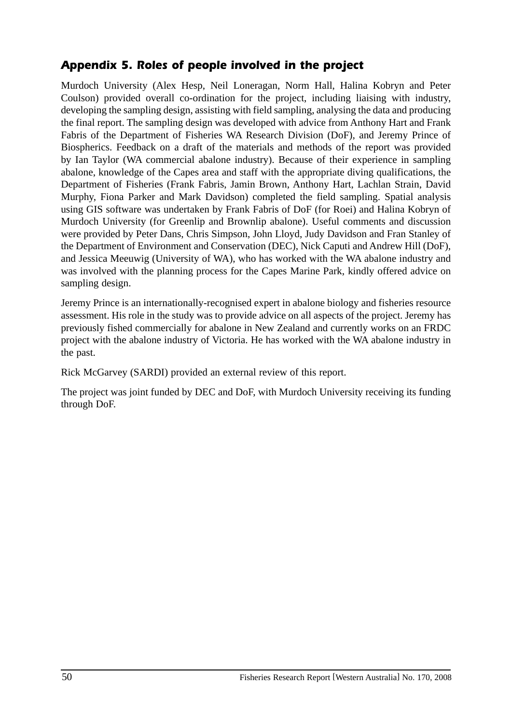# *Appendix 5. Roles of people involved in the project*

Murdoch University (Alex Hesp, Neil Loneragan, Norm Hall, Halina Kobryn and Peter Coulson) provided overall co-ordination for the project, including liaising with industry, developing the sampling design, assisting with field sampling, analysing the data and producing the final report. The sampling design was developed with advice from Anthony Hart and Frank Fabris of the Department of Fisheries WA Research Division (DoF), and Jeremy Prince of Biospherics. Feedback on a draft of the materials and methods of the report was provided by Ian Taylor (WA commercial abalone industry). Because of their experience in sampling abalone, knowledge of the Capes area and staff with the appropriate diving qualifications, the Department of Fisheries (Frank Fabris, Jamin Brown, Anthony Hart, Lachlan Strain, David Murphy, Fiona Parker and Mark Davidson) completed the field sampling. Spatial analysis using GIS software was undertaken by Frank Fabris of DoF (for Roei) and Halina Kobryn of Murdoch University (for Greenlip and Brownlip abalone). Useful comments and discussion were provided by Peter Dans, Chris Simpson, John Lloyd, Judy Davidson and Fran Stanley of the Department of Environment and Conservation (DEC), Nick Caputi and Andrew Hill (DoF), and Jessica Meeuwig (University of WA), who has worked with the WA abalone industry and was involved with the planning process for the Capes Marine Park, kindly offered advice on sampling design.

Jeremy Prince is an internationally-recognised expert in abalone biology and fisheries resource assessment. His role in the study was to provide advice on all aspects of the project. Jeremy has previously fished commercially for abalone in New Zealand and currently works on an FRDC project with the abalone industry of Victoria. He has worked with the WA abalone industry in the past.

Rick McGarvey (SARDI) provided an external review of this report.

The project was joint funded by DEC and DoF, with Murdoch University receiving its funding through DoF.